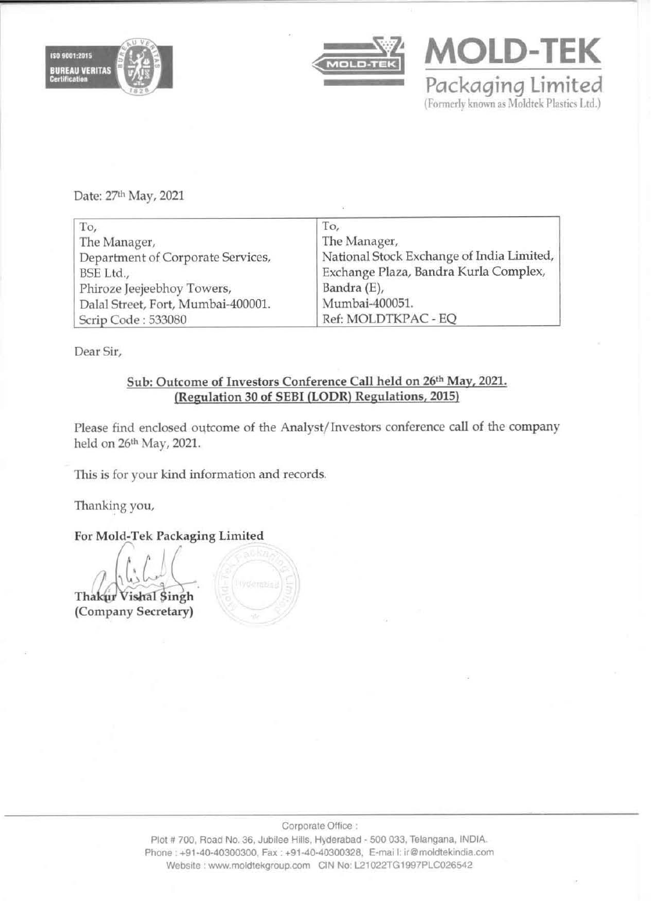



Packaqinq limited (Formerly known as Moldtek Plastics Ltd.)

**MOLD-TEK** 

Date: 27th May, 2021

| To,                                | To,                                       |
|------------------------------------|-------------------------------------------|
| The Manager,                       | The Manager,                              |
| Department of Corporate Services,  | National Stock Exchange of India Limited, |
| BSE Ltd.,                          | Exchange Plaza, Bandra Kurla Complex,     |
| Phiroze Jeejeebhoy Towers,         | Bandra (E),                               |
| Dalal Street, Fort, Mumbai-400001. | Mumbai-400051.                            |
| Scrip Code: 533080                 | Ref: MOLDTKPAC - EQ                       |

Dear Sir,

## Sub: Outcome of Investors Conference Call held on 26th May, 2021. (Regulation 30 of SEBI (lODR) Regulations, 2015)

Please find enclosed outcome of the Analyst/ Investors conference call of the company held on 26<sup>th</sup> May, 2021.

This is for your kind information and records.

Thanking you,

For Mold-Tek Packaging Limited

 $142\%$ Thakur Vishal Singh (Company Secretary)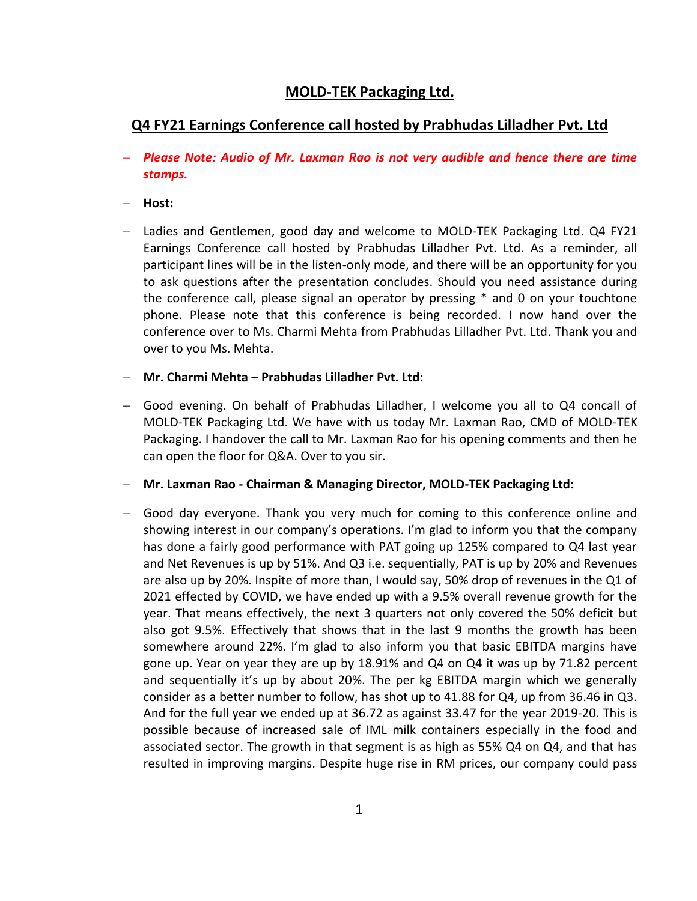# **MOLD-TEK Packaging Ltd.**

# **Q4 FY21 Earnings Conference call hosted by Prabhudas Lilladher Pvt. Ltd**

- *Please Note: Audio of Mr. Laxman Rao is not very audible and hence there are time stamps.*
- **Host:**
- Ladies and Gentlemen, good day and welcome to MOLD-TEK Packaging Ltd. Q4 FY21 Earnings Conference call hosted by Prabhudas Lilladher Pvt. Ltd. As a reminder, all participant lines will be in the listen-only mode, and there will be an opportunity for you to ask questions after the presentation concludes. Should you need assistance during the conference call, please signal an operator by pressing \* and 0 on your touchtone phone. Please note that this conference is being recorded. I now hand over the conference over to Ms. Charmi Mehta from Prabhudas Lilladher Pvt. Ltd. Thank you and over to you Ms. Mehta.

**Mr. Charmi Mehta – Prabhudas Lilladher Pvt. Ltd:**

 Good evening. On behalf of Prabhudas Lilladher, I welcome you all to Q4 concall of MOLD-TEK Packaging Ltd. We have with us today Mr. Laxman Rao, CMD of MOLD-TEK Packaging. I handover the call to Mr. Laxman Rao for his opening comments and then he can open the floor for Q&A. Over to you sir.

**Mr. Laxman Rao - Chairman & Managing Director, MOLD-TEK Packaging Ltd:**

 Good day everyone. Thank you very much for coming to this conference online and showing interest in our company's operations. I'm glad to inform you that the company has done a fairly good performance with PAT going up 125% compared to Q4 last year and Net Revenues is up by 51%. And Q3 i.e. sequentially, PAT is up by 20% and Revenues are also up by 20%. Inspite of more than, I would say, 50% drop of revenues in the Q1 of 2021 effected by COVID, we have ended up with a 9.5% overall revenue growth for the year. That means effectively, the next 3 quarters not only covered the 50% deficit but also got 9.5%. Effectively that shows that in the last 9 months the growth has been somewhere around 22%. I'm glad to also inform you that basic EBITDA margins have gone up. Year on year they are up by 18.91% and Q4 on Q4 it was up by 71.82 percent and sequentially it's up by about 20%. The per kg EBITDA margin which we generally consider as a better number to follow, has shot up to 41.88 for Q4, up from 36.46 in Q3. And for the full year we ended up at 36.72 as against 33.47 for the year 2019-20. This is possible because of increased sale of IML milk containers especially in the food and associated sector. The growth in that segment is as high as 55% Q4 on Q4, and that has resulted in improving margins. Despite huge rise in RM prices, our company could pass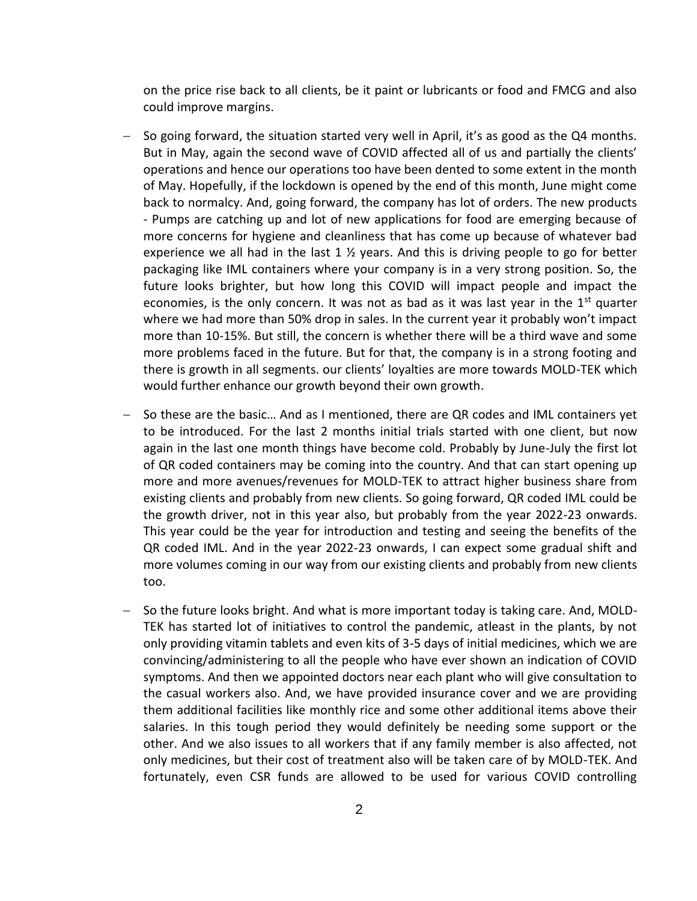on the price rise back to all clients, be it paint or lubricants or food and FMCG and also could improve margins.

- $-$  So going forward, the situation started very well in April, it's as good as the Q4 months. But in May, again the second wave of COVID affected all of us and partially the clients' operations and hence our operations too have been dented to some extent in the month of May. Hopefully, if the lockdown is opened by the end of this month, June might come back to normalcy. And, going forward, the company has lot of orders. The new products - Pumps are catching up and lot of new applications for food are emerging because of more concerns for hygiene and cleanliness that has come up because of whatever bad experience we all had in the last 1  $\frac{1}{2}$  years. And this is driving people to go for better packaging like IML containers where your company is in a very strong position. So, the future looks brighter, but how long this COVID will impact people and impact the economies, is the only concern. It was not as bad as it was last year in the  $1<sup>st</sup>$  quarter where we had more than 50% drop in sales. In the current year it probably won't impact more than 10-15%. But still, the concern is whether there will be a third wave and some more problems faced in the future. But for that, the company is in a strong footing and there is growth in all segments. our clients' loyalties are more towards MOLD-TEK which would further enhance our growth beyond their own growth.
- $-$  So these are the basic... And as I mentioned, there are QR codes and IML containers yet to be introduced. For the last 2 months initial trials started with one client, but now again in the last one month things have become cold. Probably by June-July the first lot of QR coded containers may be coming into the country. And that can start opening up more and more avenues/revenues for MOLD-TEK to attract higher business share from existing clients and probably from new clients. So going forward, QR coded IML could be the growth driver, not in this year also, but probably from the year 2022-23 onwards. This year could be the year for introduction and testing and seeing the benefits of the QR coded IML. And in the year 2022-23 onwards, I can expect some gradual shift and more volumes coming in our way from our existing clients and probably from new clients too.
- $-$  So the future looks bright. And what is more important today is taking care. And, MOLD-TEK has started lot of initiatives to control the pandemic, atleast in the plants, by not only providing vitamin tablets and even kits of 3-5 days of initial medicines, which we are convincing/administering to all the people who have ever shown an indication of COVID symptoms. And then we appointed doctors near each plant who will give consultation to the casual workers also. And, we have provided insurance cover and we are providing them additional facilities like monthly rice and some other additional items above their salaries. In this tough period they would definitely be needing some support or the other. And we also issues to all workers that if any family member is also affected, not only medicines, but their cost of treatment also will be taken care of by MOLD-TEK. And fortunately, even CSR funds are allowed to be used for various COVID controlling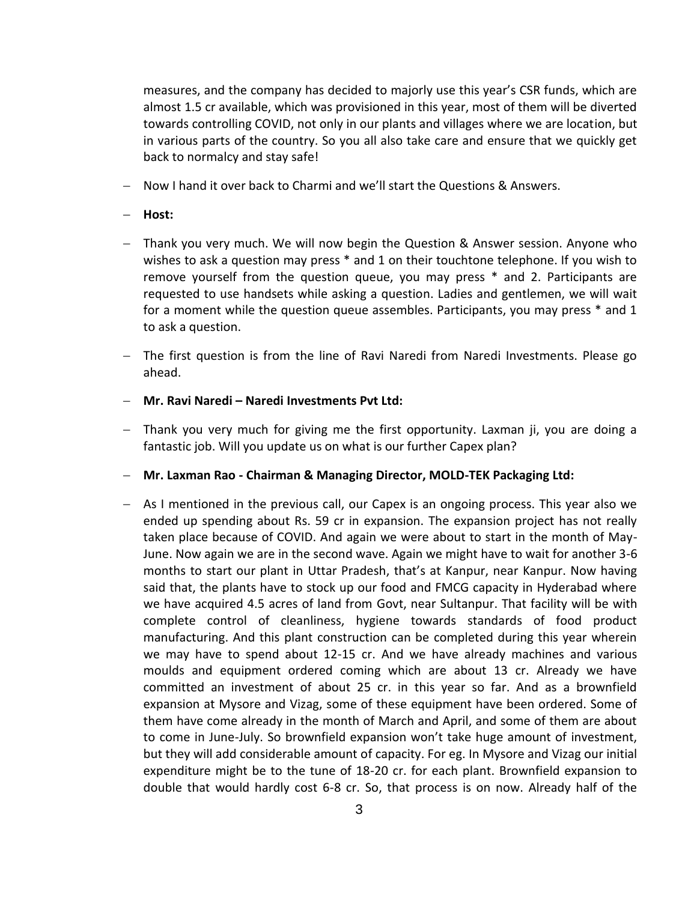measures, and the company has decided to majorly use this year's CSR funds, which are almost 1.5 cr available, which was provisioned in this year, most of them will be diverted towards controlling COVID, not only in our plants and villages where we are location, but in various parts of the country. So you all also take care and ensure that we quickly get back to normalcy and stay safe!

Now I hand it over back to Charmi and we'll start the Questions & Answers.

#### **Host:**

- Thank you very much. We will now begin the Question & Answer session. Anyone who wishes to ask a question may press \* and 1 on their touchtone telephone. If you wish to remove yourself from the question queue, you may press \* and 2. Participants are requested to use handsets while asking a question. Ladies and gentlemen, we will wait for a moment while the question queue assembles. Participants, you may press \* and 1 to ask a question.
- The first question is from the line of Ravi Naredi from Naredi Investments. Please go ahead.
- **Mr. Ravi Naredi – Naredi Investments Pvt Ltd:**
- Thank you very much for giving me the first opportunity. Laxman ji, you are doing a fantastic job. Will you update us on what is our further Capex plan?
- **Mr. Laxman Rao - Chairman & Managing Director, MOLD-TEK Packaging Ltd:**
- As I mentioned in the previous call, our Capex is an ongoing process. This year also we ended up spending about Rs. 59 cr in expansion. The expansion project has not really taken place because of COVID. And again we were about to start in the month of May-June. Now again we are in the second wave. Again we might have to wait for another 3-6 months to start our plant in Uttar Pradesh, that's at Kanpur, near Kanpur. Now having said that, the plants have to stock up our food and FMCG capacity in Hyderabad where we have acquired 4.5 acres of land from Govt, near Sultanpur. That facility will be with complete control of cleanliness, hygiene towards standards of food product manufacturing. And this plant construction can be completed during this year wherein we may have to spend about 12-15 cr. And we have already machines and various moulds and equipment ordered coming which are about 13 cr. Already we have committed an investment of about 25 cr. in this year so far. And as a brownfield expansion at Mysore and Vizag, some of these equipment have been ordered. Some of them have come already in the month of March and April, and some of them are about to come in June-July. So brownfield expansion won't take huge amount of investment, but they will add considerable amount of capacity. For eg. In Mysore and Vizag our initial expenditure might be to the tune of 18-20 cr. for each plant. Brownfield expansion to double that would hardly cost 6-8 cr. So, that process is on now. Already half of the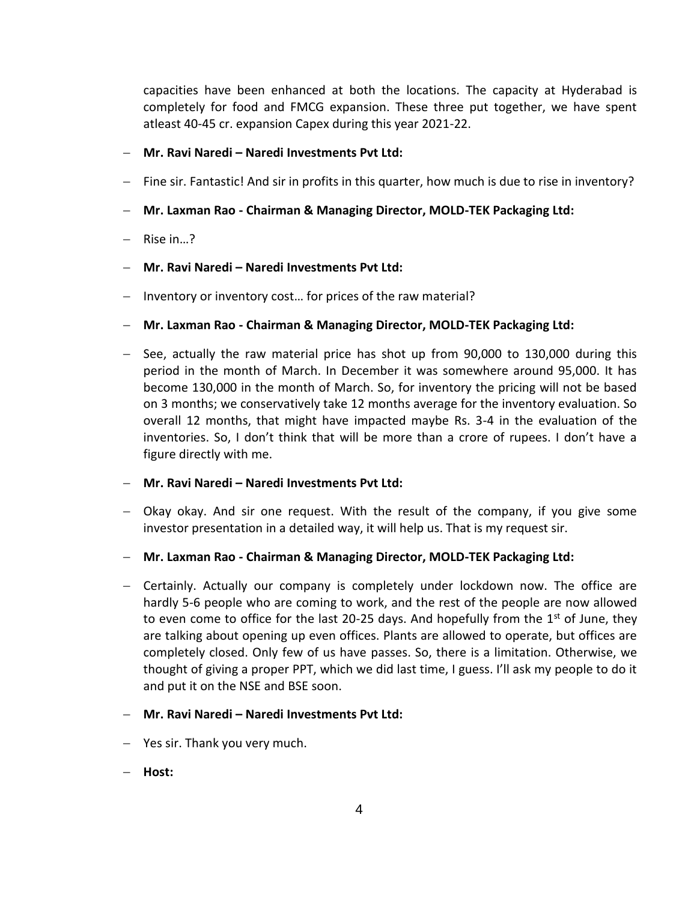capacities have been enhanced at both the locations. The capacity at Hyderabad is completely for food and FMCG expansion. These three put together, we have spent atleast 40-45 cr. expansion Capex during this year 2021-22.

#### **Mr. Ravi Naredi – Naredi Investments Pvt Ltd:**

- Fine sir. Fantastic! And sir in profits in this quarter, how much is due to rise in inventory?
- **Mr. Laxman Rao - Chairman & Managing Director, MOLD-TEK Packaging Ltd:**
- Rise in...?
- **Mr. Ravi Naredi – Naredi Investments Pvt Ltd:**
- Inventory or inventory cost... for prices of the raw material?
- **Mr. Laxman Rao - Chairman & Managing Director, MOLD-TEK Packaging Ltd:**
- $-$  See, actually the raw material price has shot up from 90,000 to 130,000 during this period in the month of March. In December it was somewhere around 95,000. It has become 130,000 in the month of March. So, for inventory the pricing will not be based on 3 months; we conservatively take 12 months average for the inventory evaluation. So overall 12 months, that might have impacted maybe Rs. 3-4 in the evaluation of the inventories. So, I don't think that will be more than a crore of rupees. I don't have a figure directly with me.
- **Mr. Ravi Naredi – Naredi Investments Pvt Ltd:**
- Okay okay. And sir one request. With the result of the company, if you give some investor presentation in a detailed way, it will help us. That is my request sir.
- **Mr. Laxman Rao - Chairman & Managing Director, MOLD-TEK Packaging Ltd:**
- Certainly. Actually our company is completely under lockdown now. The office are hardly 5-6 people who are coming to work, and the rest of the people are now allowed to even come to office for the last 20-25 days. And hopefully from the  $1<sup>st</sup>$  of June, they are talking about opening up even offices. Plants are allowed to operate, but offices are completely closed. Only few of us have passes. So, there is a limitation. Otherwise, we thought of giving a proper PPT, which we did last time, I guess. I'll ask my people to do it and put it on the NSE and BSE soon.
- **Mr. Ravi Naredi – Naredi Investments Pvt Ltd:**
- Yes sir. Thank you very much.
- **Host:**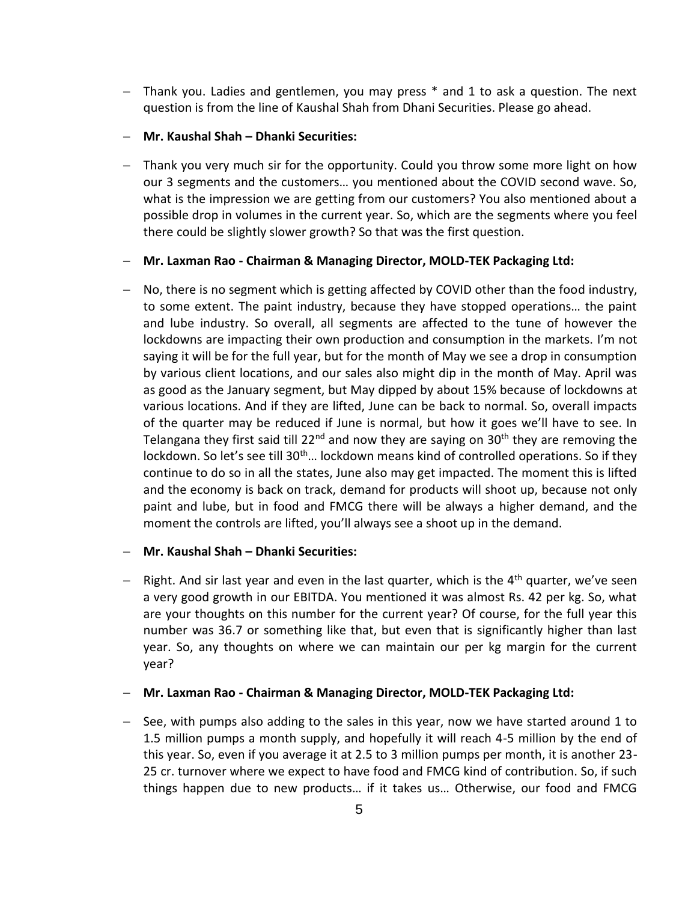- Thank you. Ladies and gentlemen, you may press \* and 1 to ask a question. The next question is from the line of Kaushal Shah from Dhani Securities. Please go ahead.
- **Mr. Kaushal Shah – Dhanki Securities:**
- Thank you very much sir for the opportunity. Could you throw some more light on how our 3 segments and the customers… you mentioned about the COVID second wave. So, what is the impression we are getting from our customers? You also mentioned about a possible drop in volumes in the current year. So, which are the segments where you feel there could be slightly slower growth? So that was the first question.
- **Mr. Laxman Rao - Chairman & Managing Director, MOLD-TEK Packaging Ltd:**
- No, there is no segment which is getting affected by COVID other than the food industry, to some extent. The paint industry, because they have stopped operations… the paint and lube industry. So overall, all segments are affected to the tune of however the lockdowns are impacting their own production and consumption in the markets. I'm not saying it will be for the full year, but for the month of May we see a drop in consumption by various client locations, and our sales also might dip in the month of May. April was as good as the January segment, but May dipped by about 15% because of lockdowns at various locations. And if they are lifted, June can be back to normal. So, overall impacts of the quarter may be reduced if June is normal, but how it goes we'll have to see. In Telangana they first said till 22<sup>nd</sup> and now they are saying on 30<sup>th</sup> they are removing the lockdown. So let's see till 30<sup>th</sup>... lockdown means kind of controlled operations. So if they continue to do so in all the states, June also may get impacted. The moment this is lifted and the economy is back on track, demand for products will shoot up, because not only paint and lube, but in food and FMCG there will be always a higher demand, and the moment the controls are lifted, you'll always see a shoot up in the demand.
- **Mr. Kaushal Shah – Dhanki Securities:**
- $-$  Right. And sir last year and even in the last quarter, which is the 4<sup>th</sup> quarter, we've seen a very good growth in our EBITDA. You mentioned it was almost Rs. 42 per kg. So, what are your thoughts on this number for the current year? Of course, for the full year this number was 36.7 or something like that, but even that is significantly higher than last year. So, any thoughts on where we can maintain our per kg margin for the current year?
- **Mr. Laxman Rao - Chairman & Managing Director, MOLD-TEK Packaging Ltd:**
- $-$  See, with pumps also adding to the sales in this year, now we have started around 1 to 1.5 million pumps a month supply, and hopefully it will reach 4-5 million by the end of this year. So, even if you average it at 2.5 to 3 million pumps per month, it is another 23- 25 cr. turnover where we expect to have food and FMCG kind of contribution. So, if such things happen due to new products… if it takes us… Otherwise, our food and FMCG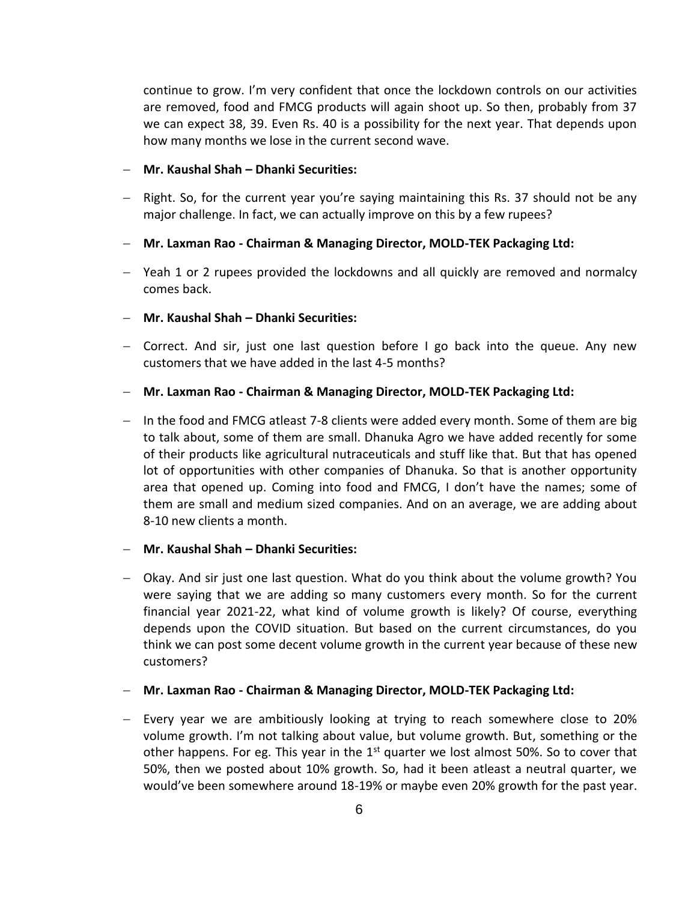continue to grow. I'm very confident that once the lockdown controls on our activities are removed, food and FMCG products will again shoot up. So then, probably from 37 we can expect 38, 39. Even Rs. 40 is a possibility for the next year. That depends upon how many months we lose in the current second wave.

- **Mr. Kaushal Shah – Dhanki Securities:**
- Right. So, for the current year you're saying maintaining this Rs. 37 should not be any major challenge. In fact, we can actually improve on this by a few rupees?
- **Mr. Laxman Rao - Chairman & Managing Director, MOLD-TEK Packaging Ltd:**
- Yeah 1 or 2 rupees provided the lockdowns and all quickly are removed and normalcy comes back.
- **Mr. Kaushal Shah – Dhanki Securities:**
- Correct. And sir, just one last question before I go back into the queue. Any new customers that we have added in the last 4-5 months?
- **Mr. Laxman Rao - Chairman & Managing Director, MOLD-TEK Packaging Ltd:**
- $-$  In the food and FMCG atleast 7-8 clients were added every month. Some of them are big to talk about, some of them are small. Dhanuka Agro we have added recently for some of their products like agricultural nutraceuticals and stuff like that. But that has opened lot of opportunities with other companies of Dhanuka. So that is another opportunity area that opened up. Coming into food and FMCG, I don't have the names; some of them are small and medium sized companies. And on an average, we are adding about 8-10 new clients a month.
- **Mr. Kaushal Shah – Dhanki Securities:**
- Okay. And sir just one last question. What do you think about the volume growth? You were saying that we are adding so many customers every month. So for the current financial year 2021-22, what kind of volume growth is likely? Of course, everything depends upon the COVID situation. But based on the current circumstances, do you think we can post some decent volume growth in the current year because of these new customers?
- **Mr. Laxman Rao - Chairman & Managing Director, MOLD-TEK Packaging Ltd:**
- Every year we are ambitiously looking at trying to reach somewhere close to 20% volume growth. I'm not talking about value, but volume growth. But, something or the other happens. For eg. This year in the  $1<sup>st</sup>$  quarter we lost almost 50%. So to cover that 50%, then we posted about 10% growth. So, had it been atleast a neutral quarter, we would've been somewhere around 18-19% or maybe even 20% growth for the past year.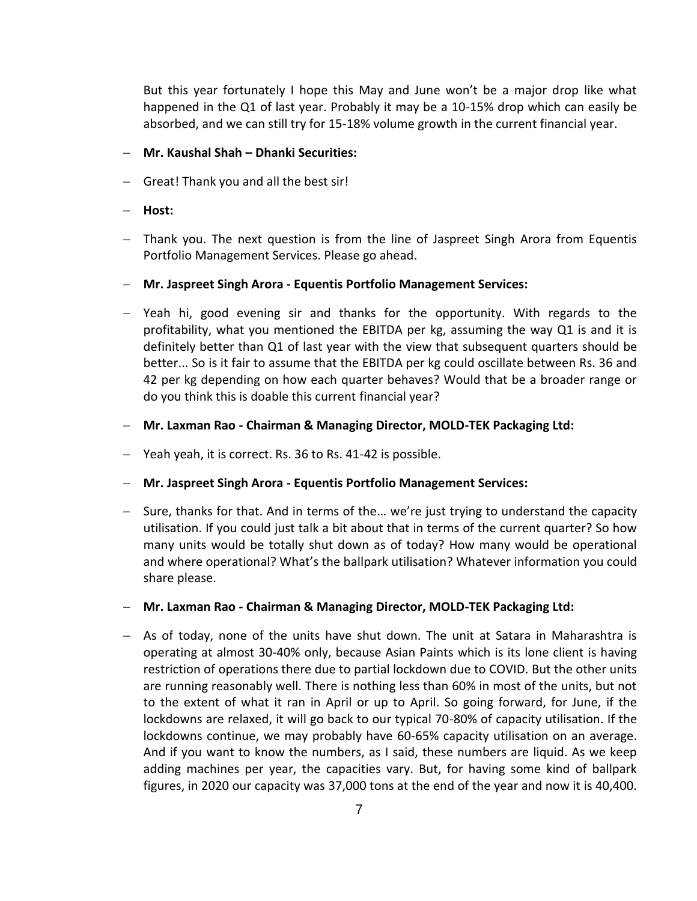But this year fortunately I hope this May and June won't be a major drop like what happened in the Q1 of last year. Probably it may be a 10-15% drop which can easily be absorbed, and we can still try for 15-18% volume growth in the current financial year.

#### **Mr. Kaushal Shah – Dhanki Securities:**

- Great! Thank you and all the best sir!
- **Host:**
- Thank you. The next question is from the line of Jaspreet Singh Arora from Equentis Portfolio Management Services. Please go ahead.
- **Mr. Jaspreet Singh Arora - Equentis Portfolio Management Services:**
- Yeah hi, good evening sir and thanks for the opportunity. With regards to the profitability, what you mentioned the EBITDA per kg, assuming the way Q1 is and it is definitely better than Q1 of last year with the view that subsequent quarters should be better... So is it fair to assume that the EBITDA per kg could oscillate between Rs. 36 and 42 per kg depending on how each quarter behaves? Would that be a broader range or do you think this is doable this current financial year?
- **Mr. Laxman Rao - Chairman & Managing Director, MOLD-TEK Packaging Ltd:**
- Yeah yeah, it is correct. Rs. 36 to Rs. 41-42 is possible.
- **Mr. Jaspreet Singh Arora - Equentis Portfolio Management Services:**
- Sure, thanks for that. And in terms of the... we're just trying to understand the capacity utilisation. If you could just talk a bit about that in terms of the current quarter? So how many units would be totally shut down as of today? How many would be operational and where operational? What's the ballpark utilisation? Whatever information you could share please.
- **Mr. Laxman Rao - Chairman & Managing Director, MOLD-TEK Packaging Ltd:**
- $-$  As of today, none of the units have shut down. The unit at Satara in Maharashtra is operating at almost 30-40% only, because Asian Paints which is its lone client is having restriction of operations there due to partial lockdown due to COVID. But the other units are running reasonably well. There is nothing less than 60% in most of the units, but not to the extent of what it ran in April or up to April. So going forward, for June, if the lockdowns are relaxed, it will go back to our typical 70-80% of capacity utilisation. If the lockdowns continue, we may probably have 60-65% capacity utilisation on an average. And if you want to know the numbers, as I said, these numbers are liquid. As we keep adding machines per year, the capacities vary. But, for having some kind of ballpark figures, in 2020 our capacity was 37,000 tons at the end of the year and now it is 40,400.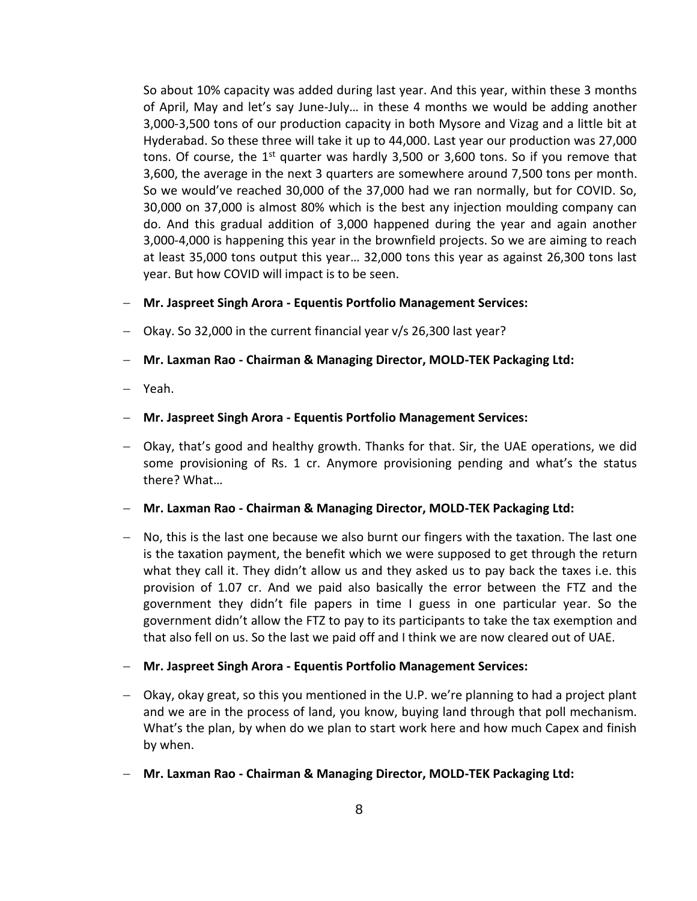So about 10% capacity was added during last year. And this year, within these 3 months of April, May and let's say June-July… in these 4 months we would be adding another 3,000-3,500 tons of our production capacity in both Mysore and Vizag and a little bit at Hyderabad. So these three will take it up to 44,000. Last year our production was 27,000 tons. Of course, the  $1<sup>st</sup>$  quarter was hardly 3,500 or 3,600 tons. So if you remove that 3,600, the average in the next 3 quarters are somewhere around 7,500 tons per month. So we would've reached 30,000 of the 37,000 had we ran normally, but for COVID. So, 30,000 on 37,000 is almost 80% which is the best any injection moulding company can do. And this gradual addition of 3,000 happened during the year and again another 3,000-4,000 is happening this year in the brownfield projects. So we are aiming to reach at least 35,000 tons output this year… 32,000 tons this year as against 26,300 tons last year. But how COVID will impact is to be seen.

- **Mr. Jaspreet Singh Arora - Equentis Portfolio Management Services:**
- Okay. So 32,000 in the current financial year v/s 26,300 last year?
- **Mr. Laxman Rao - Chairman & Managing Director, MOLD-TEK Packaging Ltd:**
- Yeah.
- **Mr. Jaspreet Singh Arora - Equentis Portfolio Management Services:**
- Okay, that's good and healthy growth. Thanks for that. Sir, the UAE operations, we did some provisioning of Rs. 1 cr. Anymore provisioning pending and what's the status there? What…
- **Mr. Laxman Rao - Chairman & Managing Director, MOLD-TEK Packaging Ltd:**
- No, this is the last one because we also burnt our fingers with the taxation. The last one is the taxation payment, the benefit which we were supposed to get through the return what they call it. They didn't allow us and they asked us to pay back the taxes i.e. this provision of 1.07 cr. And we paid also basically the error between the FTZ and the government they didn't file papers in time I guess in one particular year. So the government didn't allow the FTZ to pay to its participants to take the tax exemption and that also fell on us. So the last we paid off and I think we are now cleared out of UAE.
- **Mr. Jaspreet Singh Arora - Equentis Portfolio Management Services:**
- Okay, okay great, so this you mentioned in the U.P. we're planning to had a project plant and we are in the process of land, you know, buying land through that poll mechanism. What's the plan, by when do we plan to start work here and how much Capex and finish by when.
- **Mr. Laxman Rao - Chairman & Managing Director, MOLD-TEK Packaging Ltd:**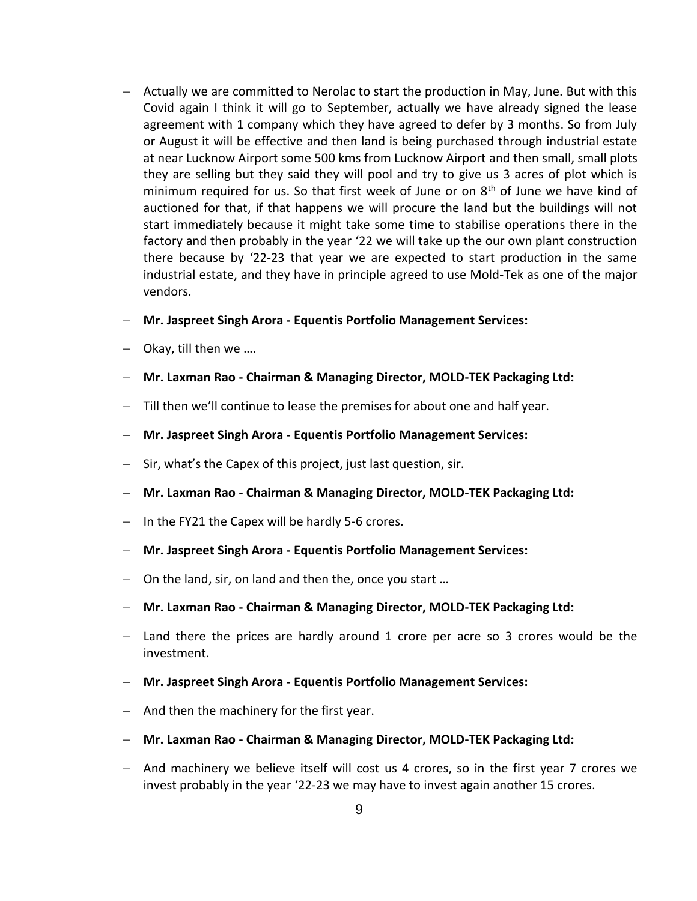- Actually we are committed to Nerolac to start the production in May, June. But with this Covid again I think it will go to September, actually we have already signed the lease agreement with 1 company which they have agreed to defer by 3 months. So from July or August it will be effective and then land is being purchased through industrial estate at near Lucknow Airport some 500 kms from Lucknow Airport and then small, small plots they are selling but they said they will pool and try to give us 3 acres of plot which is minimum required for us. So that first week of June or on  $8<sup>th</sup>$  of June we have kind of auctioned for that, if that happens we will procure the land but the buildings will not start immediately because it might take some time to stabilise operations there in the factory and then probably in the year '22 we will take up the our own plant construction there because by '22-23 that year we are expected to start production in the same industrial estate, and they have in principle agreed to use Mold-Tek as one of the major vendors.
- **Mr. Jaspreet Singh Arora - Equentis Portfolio Management Services:**
- $-$  Okay, till then we ....
- **Mr. Laxman Rao - Chairman & Managing Director, MOLD-TEK Packaging Ltd:**
- Till then we'll continue to lease the premises for about one and half year.
- **Mr. Jaspreet Singh Arora - Equentis Portfolio Management Services:**
- $-$  Sir, what's the Capex of this project, just last question, sir.
- **Mr. Laxman Rao - Chairman & Managing Director, MOLD-TEK Packaging Ltd:**
- $-$  In the FY21 the Capex will be hardly 5-6 crores.
- **Mr. Jaspreet Singh Arora - Equentis Portfolio Management Services:**
- On the land, sir, on land and then the, once you start …
- **Mr. Laxman Rao - Chairman & Managing Director, MOLD-TEK Packaging Ltd:**
- Land there the prices are hardly around 1 crore per acre so 3 crores would be the investment.
- **Mr. Jaspreet Singh Arora - Equentis Portfolio Management Services:**
- $-$  And then the machinery for the first year.
- **Mr. Laxman Rao - Chairman & Managing Director, MOLD-TEK Packaging Ltd:**
- And machinery we believe itself will cost us 4 crores, so in the first year 7 crores we invest probably in the year '22-23 we may have to invest again another 15 crores.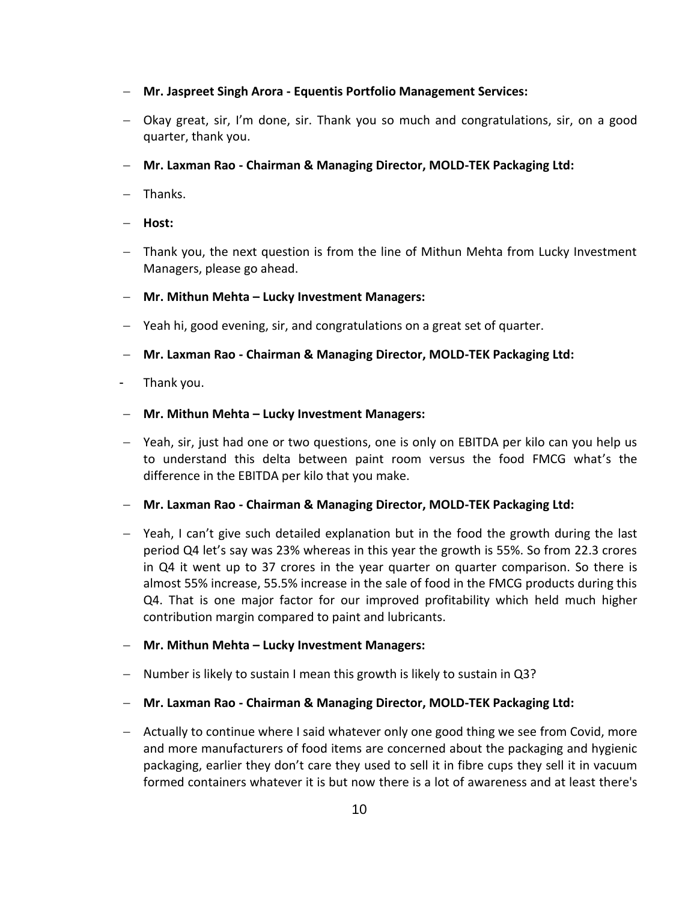- **Mr. Jaspreet Singh Arora - Equentis Portfolio Management Services:**
- Okay great, sir, I'm done, sir. Thank you so much and congratulations, sir, on a good quarter, thank you.
- **Mr. Laxman Rao - Chairman & Managing Director, MOLD-TEK Packaging Ltd:**
- $-$  Thanks.
- **Host:**
- Thank you, the next question is from the line of Mithun Mehta from Lucky Investment Managers, please go ahead.
- **Mr. Mithun Mehta – Lucky Investment Managers:**
- Yeah hi, good evening, sir, and congratulations on a great set of quarter.
- **Mr. Laxman Rao - Chairman & Managing Director, MOLD-TEK Packaging Ltd:**
- Thank you.
- **Mr. Mithun Mehta – Lucky Investment Managers:**
- Yeah, sir, just had one or two questions, one is only on EBITDA per kilo can you help us to understand this delta between paint room versus the food FMCG what's the difference in the EBITDA per kilo that you make.
- **Mr. Laxman Rao - Chairman & Managing Director, MOLD-TEK Packaging Ltd:**
- Yeah, I can't give such detailed explanation but in the food the growth during the last period Q4 let's say was 23% whereas in this year the growth is 55%. So from 22.3 crores in Q4 it went up to 37 crores in the year quarter on quarter comparison. So there is almost 55% increase, 55.5% increase in the sale of food in the FMCG products during this Q4. That is one major factor for our improved profitability which held much higher contribution margin compared to paint and lubricants.
- **Mr. Mithun Mehta – Lucky Investment Managers:**
- Number is likely to sustain I mean this growth is likely to sustain in Q3?
- **Mr. Laxman Rao - Chairman & Managing Director, MOLD-TEK Packaging Ltd:**
- Actually to continue where I said whatever only one good thing we see from Covid, more and more manufacturers of food items are concerned about the packaging and hygienic packaging, earlier they don't care they used to sell it in fibre cups they sell it in vacuum formed containers whatever it is but now there is a lot of awareness and at least there's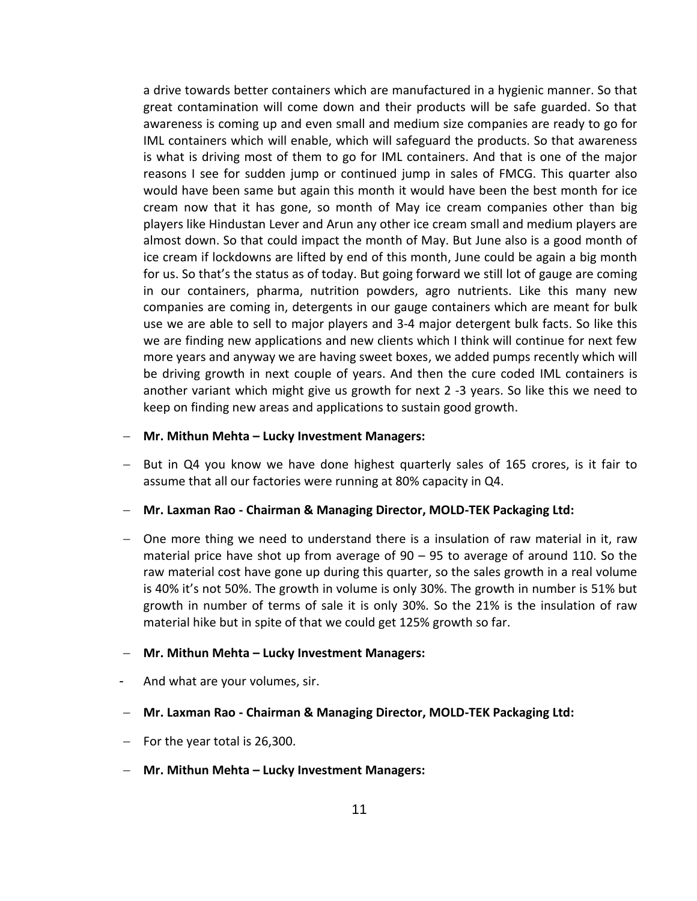a drive towards better containers which are manufactured in a hygienic manner. So that great contamination will come down and their products will be safe guarded. So that awareness is coming up and even small and medium size companies are ready to go for IML containers which will enable, which will safeguard the products. So that awareness is what is driving most of them to go for IML containers. And that is one of the major reasons I see for sudden jump or continued jump in sales of FMCG. This quarter also would have been same but again this month it would have been the best month for ice cream now that it has gone, so month of May ice cream companies other than big players like Hindustan Lever and Arun any other ice cream small and medium players are almost down. So that could impact the month of May. But June also is a good month of ice cream if lockdowns are lifted by end of this month, June could be again a big month for us. So that's the status as of today. But going forward we still lot of gauge are coming in our containers, pharma, nutrition powders, agro nutrients. Like this many new companies are coming in, detergents in our gauge containers which are meant for bulk use we are able to sell to major players and 3-4 major detergent bulk facts. So like this we are finding new applications and new clients which I think will continue for next few more years and anyway we are having sweet boxes, we added pumps recently which will be driving growth in next couple of years. And then the cure coded IML containers is another variant which might give us growth for next 2 -3 years. So like this we need to keep on finding new areas and applications to sustain good growth.

#### **Mr. Mithun Mehta – Lucky Investment Managers:**

- $-$  But in Q4 you know we have done highest quarterly sales of 165 crores, is it fair to assume that all our factories were running at 80% capacity in Q4.
- **Mr. Laxman Rao - Chairman & Managing Director, MOLD-TEK Packaging Ltd:**
- One more thing we need to understand there is a insulation of raw material in it, raw material price have shot up from average of 90 – 95 to average of around 110. So the raw material cost have gone up during this quarter, so the sales growth in a real volume is 40% it's not 50%. The growth in volume is only 30%. The growth in number is 51% but growth in number of terms of sale it is only 30%. So the 21% is the insulation of raw material hike but in spite of that we could get 125% growth so far.

#### **Mr. Mithun Mehta – Lucky Investment Managers:**

- And what are your volumes, sir.
- **Mr. Laxman Rao - Chairman & Managing Director, MOLD-TEK Packaging Ltd:**
- $-$  For the year total is 26,300.
- **Mr. Mithun Mehta – Lucky Investment Managers:**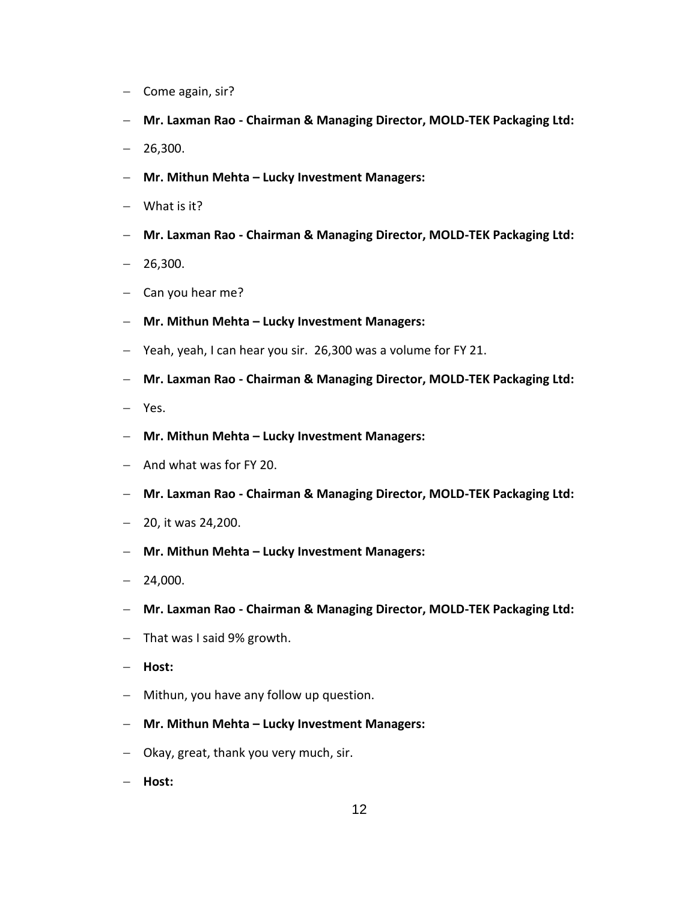- $-$  Come again, sir?
- **Mr. Laxman Rao - Chairman & Managing Director, MOLD-TEK Packaging Ltd:**
- $-26,300.$
- **Mr. Mithun Mehta – Lucky Investment Managers:**
- What is it?
- **Mr. Laxman Rao - Chairman & Managing Director, MOLD-TEK Packaging Ltd:**
- $-26,300.$
- $-$  Can you hear me?
- **Mr. Mithun Mehta – Lucky Investment Managers:**
- Yeah, yeah, I can hear you sir. 26,300 was a volume for FY 21.
- **Mr. Laxman Rao - Chairman & Managing Director, MOLD-TEK Packaging Ltd:**
- Yes.
- **Mr. Mithun Mehta – Lucky Investment Managers:**
- $-$  And what was for FY 20.
- **Mr. Laxman Rao - Chairman & Managing Director, MOLD-TEK Packaging Ltd:**
- $-$  20, it was 24,200.
- **Mr. Mithun Mehta – Lucky Investment Managers:**
- $-24,000.$
- **Mr. Laxman Rao - Chairman & Managing Director, MOLD-TEK Packaging Ltd:**
- $-$  That was I said 9% growth.
- **Host:**
- Mithun, you have any follow up question.
- **Mr. Mithun Mehta – Lucky Investment Managers:**
- Okay, great, thank you very much, sir.
- **Host:**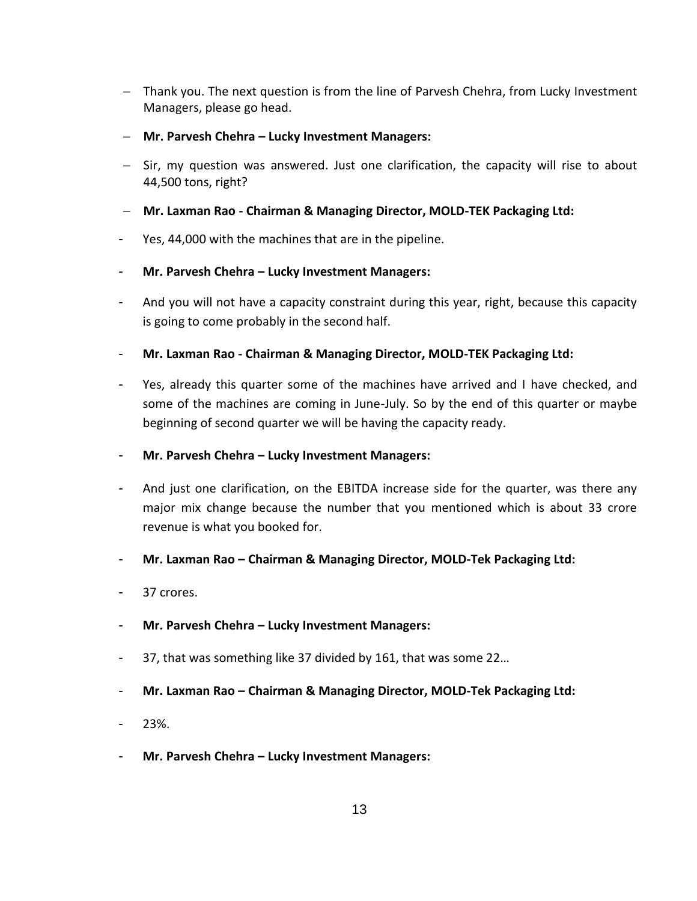- Thank you. The next question is from the line of Parvesh Chehra, from Lucky Investment Managers, please go head.
- **Mr. Parvesh Chehra – Lucky Investment Managers:**
- $-$  Sir, my question was answered. Just one clarification, the capacity will rise to about 44,500 tons, right?

## **Mr. Laxman Rao - Chairman & Managing Director, MOLD-TEK Packaging Ltd:**

Yes, 44,000 with the machines that are in the pipeline.

## - **Mr. Parvesh Chehra – Lucky Investment Managers:**

- And you will not have a capacity constraint during this year, right, because this capacity is going to come probably in the second half.
- **Mr. Laxman Rao - Chairman & Managing Director, MOLD-TEK Packaging Ltd:**
- Yes, already this quarter some of the machines have arrived and I have checked, and some of the machines are coming in June-July. So by the end of this quarter or maybe beginning of second quarter we will be having the capacity ready.
- **Mr. Parvesh Chehra – Lucky Investment Managers:**
- And just one clarification, on the EBITDA increase side for the quarter, was there any major mix change because the number that you mentioned which is about 33 crore revenue is what you booked for.
- **Mr. Laxman Rao – Chairman & Managing Director, MOLD-Tek Packaging Ltd:**
- 37 crores.
- **Mr. Parvesh Chehra – Lucky Investment Managers:**
- 37, that was something like 37 divided by 161, that was some 22…
- **Mr. Laxman Rao – Chairman & Managing Director, MOLD-Tek Packaging Ltd:**
- 23%.
- **Mr. Parvesh Chehra – Lucky Investment Managers:**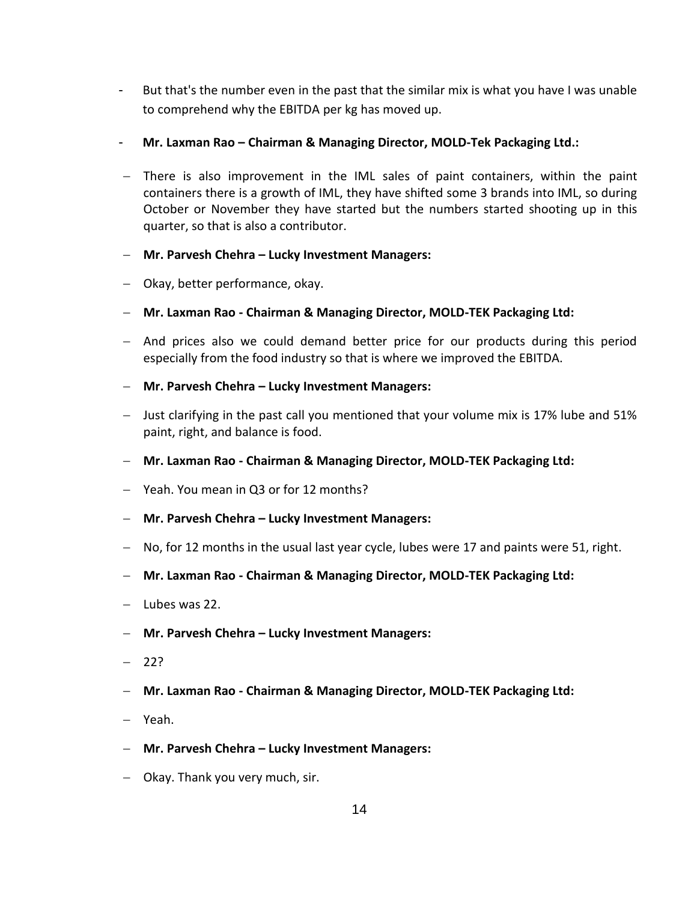- But that's the number even in the past that the similar mix is what you have I was unable to comprehend why the EBITDA per kg has moved up.
- **Mr. Laxman Rao – Chairman & Managing Director, MOLD-Tek Packaging Ltd.:**
- There is also improvement in the IML sales of paint containers, within the paint containers there is a growth of IML, they have shifted some 3 brands into IML, so during October or November they have started but the numbers started shooting up in this quarter, so that is also a contributor.
- **Mr. Parvesh Chehra – Lucky Investment Managers:**
- Okay, better performance, okay.
- **Mr. Laxman Rao - Chairman & Managing Director, MOLD-TEK Packaging Ltd:**
- And prices also we could demand better price for our products during this period especially from the food industry so that is where we improved the EBITDA.
- **Mr. Parvesh Chehra – Lucky Investment Managers:**
- Just clarifying in the past call you mentioned that your volume mix is 17% lube and 51% paint, right, and balance is food.
- **Mr. Laxman Rao - Chairman & Managing Director, MOLD-TEK Packaging Ltd:**
- Yeah. You mean in Q3 or for 12 months?
- **Mr. Parvesh Chehra – Lucky Investment Managers:**
- $-$  No, for 12 months in the usual last year cycle, lubes were 17 and paints were 51, right.
- **Mr. Laxman Rao - Chairman & Managing Director, MOLD-TEK Packaging Ltd:**
- Lubes was 22.
- **Mr. Parvesh Chehra – Lucky Investment Managers:**
- $-22?$
- **Mr. Laxman Rao - Chairman & Managing Director, MOLD-TEK Packaging Ltd:**
- Yeah.
- **Mr. Parvesh Chehra – Lucky Investment Managers:**
- Okay. Thank you very much, sir.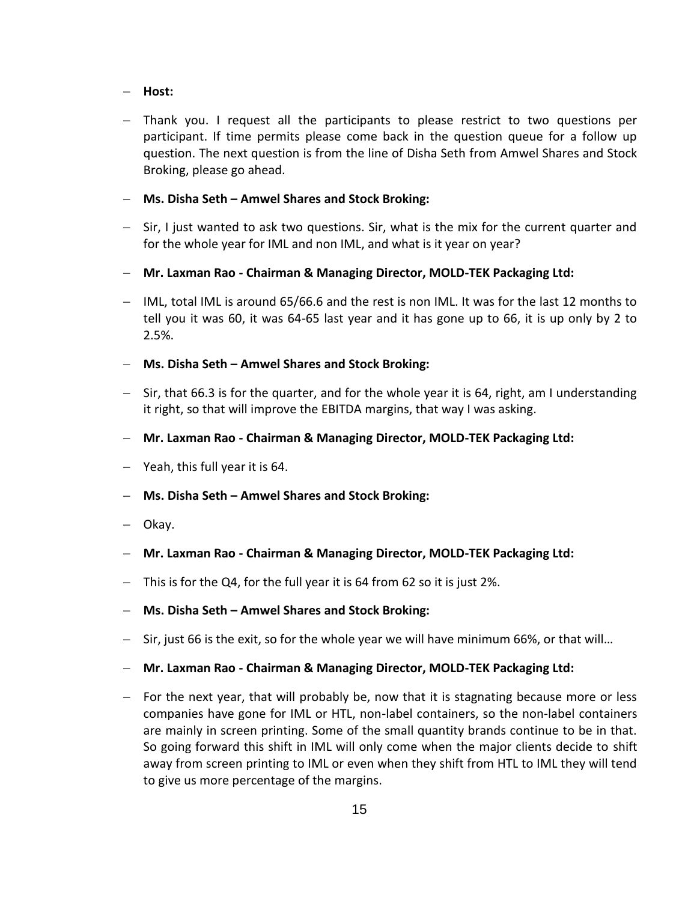#### **Host:**

 Thank you. I request all the participants to please restrict to two questions per participant. If time permits please come back in the question queue for a follow up question. The next question is from the line of Disha Seth from Amwel Shares and Stock Broking, please go ahead.

#### **Ms. Disha Seth – Amwel Shares and Stock Broking:**

- $-$  Sir, I just wanted to ask two questions. Sir, what is the mix for the current quarter and for the whole year for IML and non IML, and what is it year on year?
- **Mr. Laxman Rao - Chairman & Managing Director, MOLD-TEK Packaging Ltd:**
- IML, total IML is around 65/66.6 and the rest is non IML. It was for the last 12 months to tell you it was 60, it was 64-65 last year and it has gone up to 66, it is up only by 2 to 2.5%.

#### **Ms. Disha Seth – Amwel Shares and Stock Broking:**

- $-$  Sir, that 66.3 is for the quarter, and for the whole year it is 64, right, am I understanding it right, so that will improve the EBITDA margins, that way I was asking.
- **Mr. Laxman Rao - Chairman & Managing Director, MOLD-TEK Packaging Ltd:**
- $-$  Yeah, this full year it is 64.
- **Ms. Disha Seth – Amwel Shares and Stock Broking:**
- Okay.
- **Mr. Laxman Rao - Chairman & Managing Director, MOLD-TEK Packaging Ltd:**
- $-$  This is for the Q4, for the full year it is 64 from 62 so it is just 2%.
- **Ms. Disha Seth – Amwel Shares and Stock Broking:**
- $-$  Sir, just 66 is the exit, so for the whole year we will have minimum 66%, or that will...
- **Mr. Laxman Rao - Chairman & Managing Director, MOLD-TEK Packaging Ltd:**
- $-$  For the next year, that will probably be, now that it is stagnating because more or less companies have gone for IML or HTL, non-label containers, so the non-label containers are mainly in screen printing. Some of the small quantity brands continue to be in that. So going forward this shift in IML will only come when the major clients decide to shift away from screen printing to IML or even when they shift from HTL to IML they will tend to give us more percentage of the margins.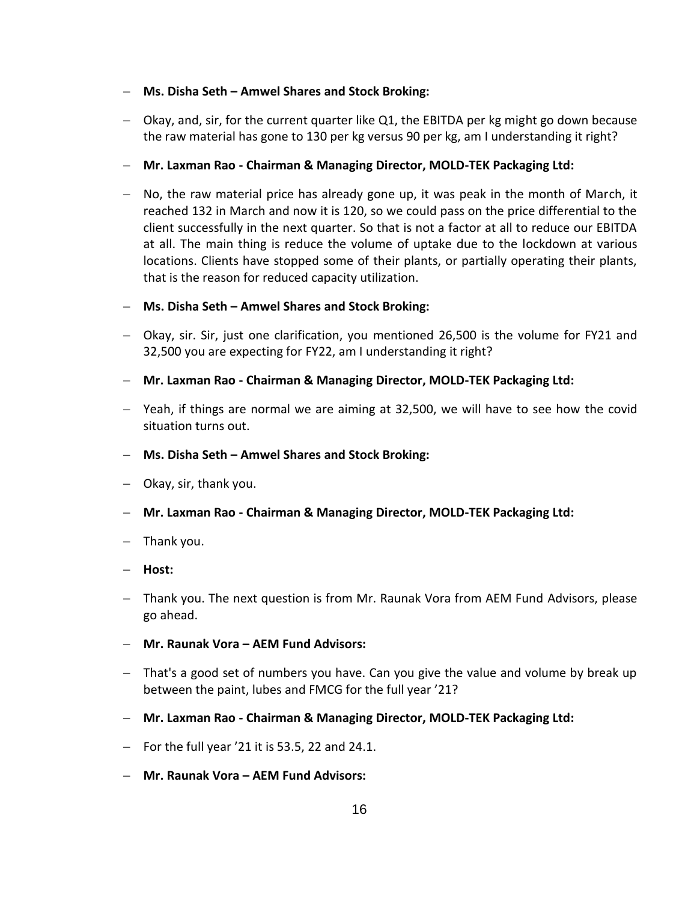#### **Ms. Disha Seth – Amwel Shares and Stock Broking:**

- Okay, and, sir, for the current quarter like Q1, the EBITDA per kg might go down because the raw material has gone to 130 per kg versus 90 per kg, am I understanding it right?
- **Mr. Laxman Rao - Chairman & Managing Director, MOLD-TEK Packaging Ltd:**
- $-$  No, the raw material price has already gone up, it was peak in the month of March, it reached 132 in March and now it is 120, so we could pass on the price differential to the client successfully in the next quarter. So that is not a factor at all to reduce our EBITDA at all. The main thing is reduce the volume of uptake due to the lockdown at various locations. Clients have stopped some of their plants, or partially operating their plants, that is the reason for reduced capacity utilization.
- **Ms. Disha Seth – Amwel Shares and Stock Broking:**
- Okay, sir. Sir, just one clarification, you mentioned 26,500 is the volume for FY21 and 32,500 you are expecting for FY22, am I understanding it right?
- **Mr. Laxman Rao - Chairman & Managing Director, MOLD-TEK Packaging Ltd:**
- Yeah, if things are normal we are aiming at 32,500, we will have to see how the covid situation turns out.
- **Ms. Disha Seth – Amwel Shares and Stock Broking:**
- $-$  Okay, sir, thank you.
- **Mr. Laxman Rao - Chairman & Managing Director, MOLD-TEK Packaging Ltd:**
- $-$  Thank you.
- **Host:**
- Thank you. The next question is from Mr. Raunak Vora from AEM Fund Advisors, please go ahead.
- **Mr. Raunak Vora – AEM Fund Advisors:**
- That's a good set of numbers you have. Can you give the value and volume by break up between the paint, lubes and FMCG for the full year '21?
- **Mr. Laxman Rao - Chairman & Managing Director, MOLD-TEK Packaging Ltd:**
- $-$  For the full year '21 it is 53.5, 22 and 24.1.
- **Mr. Raunak Vora – AEM Fund Advisors:**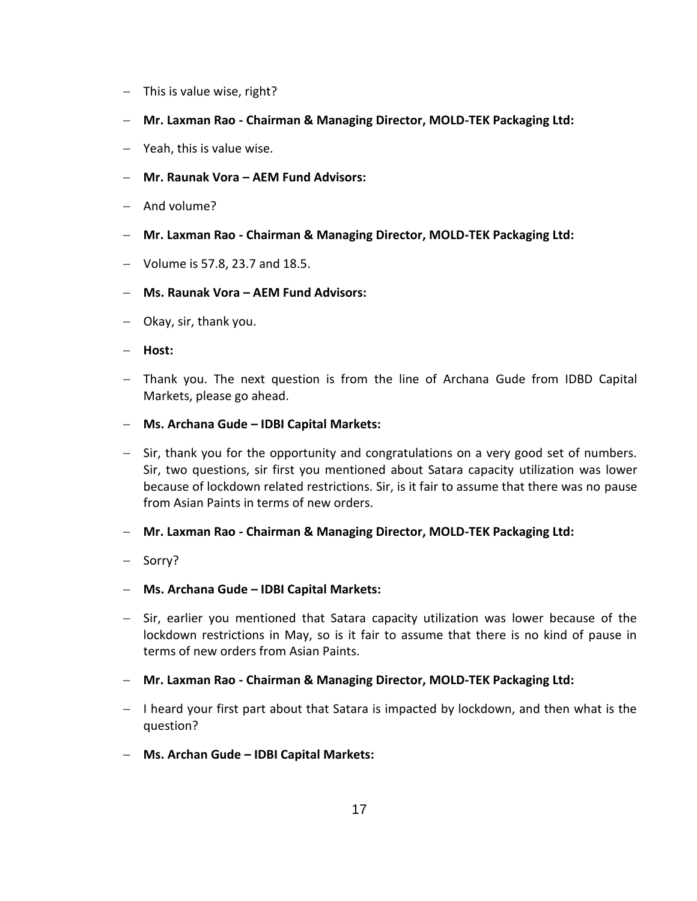- $-$  This is value wise, right?
- **Mr. Laxman Rao - Chairman & Managing Director, MOLD-TEK Packaging Ltd:**
- Yeah, this is value wise.
- **Mr. Raunak Vora – AEM Fund Advisors:**
- $-$  And volume?
- **Mr. Laxman Rao - Chairman & Managing Director, MOLD-TEK Packaging Ltd:**
- $-$  Volume is 57.8, 23.7 and 18.5.
- **Ms. Raunak Vora – AEM Fund Advisors:**
- $-$  Okay, sir, thank you.
- **Host:**
- Thank you. The next question is from the line of Archana Gude from IDBD Capital Markets, please go ahead.
- **Ms. Archana Gude – IDBI Capital Markets:**
- $-$  Sir, thank you for the opportunity and congratulations on a very good set of numbers. Sir, two questions, sir first you mentioned about Satara capacity utilization was lower because of lockdown related restrictions. Sir, is it fair to assume that there was no pause from Asian Paints in terms of new orders.
- **Mr. Laxman Rao - Chairman & Managing Director, MOLD-TEK Packaging Ltd:**
- Sorry?
- **Ms. Archana Gude – IDBI Capital Markets:**
- Sir, earlier you mentioned that Satara capacity utilization was lower because of the lockdown restrictions in May, so is it fair to assume that there is no kind of pause in terms of new orders from Asian Paints.
- **Mr. Laxman Rao - Chairman & Managing Director, MOLD-TEK Packaging Ltd:**
- $-$  I heard your first part about that Satara is impacted by lockdown, and then what is the question?
- **Ms. Archan Gude – IDBI Capital Markets:**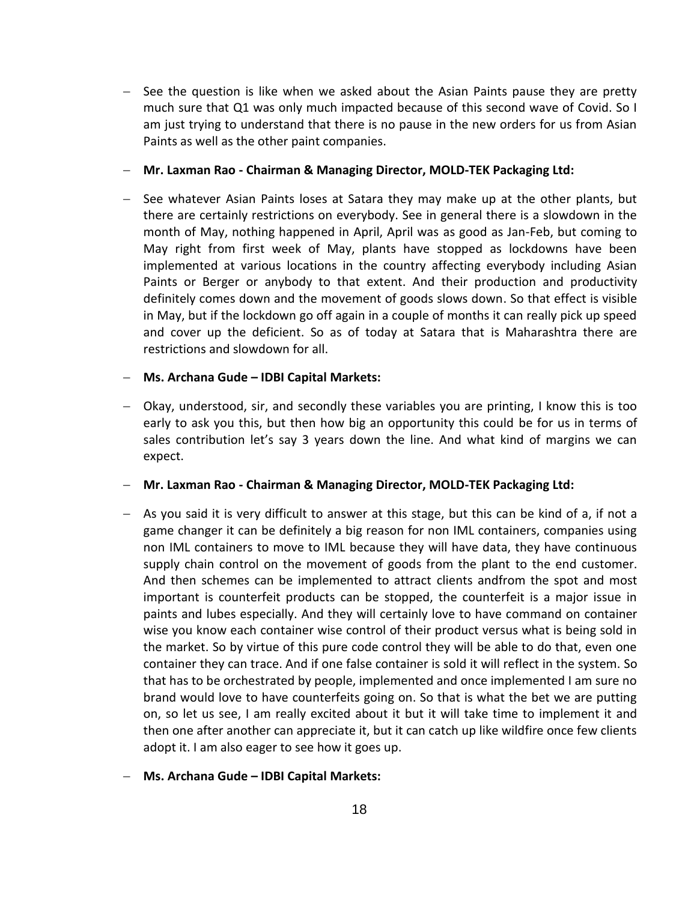$-$  See the question is like when we asked about the Asian Paints pause they are pretty much sure that Q1 was only much impacted because of this second wave of Covid. So I am just trying to understand that there is no pause in the new orders for us from Asian Paints as well as the other paint companies.

**Mr. Laxman Rao - Chairman & Managing Director, MOLD-TEK Packaging Ltd:**

 $-$  See whatever Asian Paints loses at Satara they may make up at the other plants, but there are certainly restrictions on everybody. See in general there is a slowdown in the month of May, nothing happened in April, April was as good as Jan-Feb, but coming to May right from first week of May, plants have stopped as lockdowns have been implemented at various locations in the country affecting everybody including Asian Paints or Berger or anybody to that extent. And their production and productivity definitely comes down and the movement of goods slows down. So that effect is visible in May, but if the lockdown go off again in a couple of months it can really pick up speed and cover up the deficient. So as of today at Satara that is Maharashtra there are restrictions and slowdown for all.

#### **Ms. Archana Gude – IDBI Capital Markets:**

 Okay, understood, sir, and secondly these variables you are printing, I know this is too early to ask you this, but then how big an opportunity this could be for us in terms of sales contribution let's say 3 years down the line. And what kind of margins we can expect.

**Mr. Laxman Rao - Chairman & Managing Director, MOLD-TEK Packaging Ltd:**

 $-$  As you said it is very difficult to answer at this stage, but this can be kind of a, if not a game changer it can be definitely a big reason for non IML containers, companies using non IML containers to move to IML because they will have data, they have continuous supply chain control on the movement of goods from the plant to the end customer. And then schemes can be implemented to attract clients andfrom the spot and most important is counterfeit products can be stopped, the counterfeit is a major issue in paints and lubes especially. And they will certainly love to have command on container wise you know each container wise control of their product versus what is being sold in the market. So by virtue of this pure code control they will be able to do that, even one container they can trace. And if one false container is sold it will reflect in the system. So that has to be orchestrated by people, implemented and once implemented I am sure no brand would love to have counterfeits going on. So that is what the bet we are putting on, so let us see, I am really excited about it but it will take time to implement it and then one after another can appreciate it, but it can catch up like wildfire once few clients adopt it. I am also eager to see how it goes up.

#### **Ms. Archana Gude – IDBI Capital Markets:**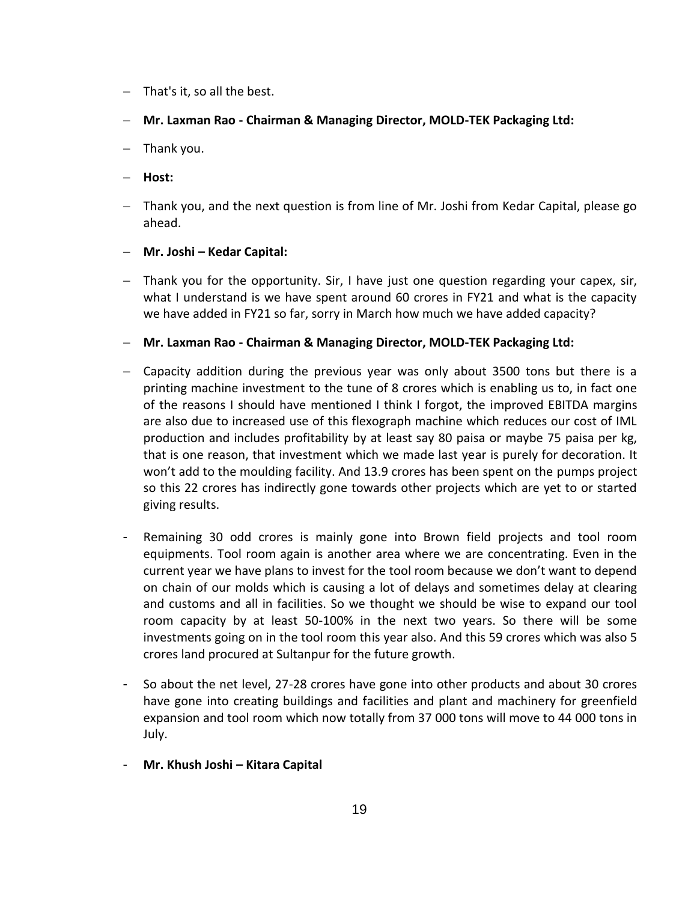- $-$  That's it, so all the best.
- **Mr. Laxman Rao - Chairman & Managing Director, MOLD-TEK Packaging Ltd:**
- $-$  Thank you.
- **Host:**
- Thank you, and the next question is from line of Mr. Joshi from Kedar Capital, please go ahead.
- **Mr. Joshi – Kedar Capital:**
- Thank you for the opportunity. Sir, I have just one question regarding your capex, sir, what I understand is we have spent around 60 crores in FY21 and what is the capacity we have added in FY21 so far, sorry in March how much we have added capacity?
- **Mr. Laxman Rao - Chairman & Managing Director, MOLD-TEK Packaging Ltd:**
- Capacity addition during the previous year was only about 3500 tons but there is a printing machine investment to the tune of 8 crores which is enabling us to, in fact one of the reasons I should have mentioned I think I forgot, the improved EBITDA margins are also due to increased use of this flexograph machine which reduces our cost of IML production and includes profitability by at least say 80 paisa or maybe 75 paisa per kg, that is one reason, that investment which we made last year is purely for decoration. It won't add to the moulding facility. And 13.9 crores has been spent on the pumps project so this 22 crores has indirectly gone towards other projects which are yet to or started giving results.
- Remaining 30 odd crores is mainly gone into Brown field projects and tool room equipments. Tool room again is another area where we are concentrating. Even in the current year we have plans to invest for the tool room because we don't want to depend on chain of our molds which is causing a lot of delays and sometimes delay at clearing and customs and all in facilities. So we thought we should be wise to expand our tool room capacity by at least 50-100% in the next two years. So there will be some investments going on in the tool room this year also. And this 59 crores which was also 5 crores land procured at Sultanpur for the future growth.
- So about the net level, 27-28 crores have gone into other products and about 30 crores have gone into creating buildings and facilities and plant and machinery for greenfield expansion and tool room which now totally from 37 000 tons will move to 44 000 tons in July.
- **Mr. Khush Joshi – Kitara Capital**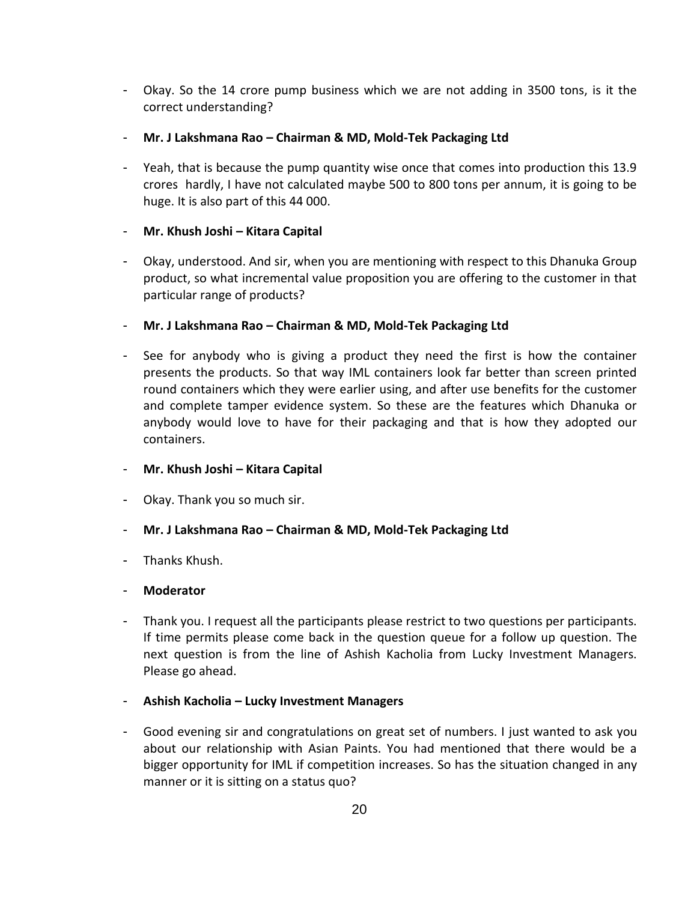- Okay. So the 14 crore pump business which we are not adding in 3500 tons, is it the correct understanding?
- **Mr. J Lakshmana Rao – Chairman & MD, Mold-Tek Packaging Ltd**
- Yeah, that is because the pump quantity wise once that comes into production this 13.9 crores hardly, I have not calculated maybe 500 to 800 tons per annum, it is going to be huge. It is also part of this 44 000.

## - **Mr. Khush Joshi – Kitara Capital**

- Okay, understood. And sir, when you are mentioning with respect to this Dhanuka Group product, so what incremental value proposition you are offering to the customer in that particular range of products?
- **Mr. J Lakshmana Rao – Chairman & MD, Mold-Tek Packaging Ltd**
- See for anybody who is giving a product they need the first is how the container presents the products. So that way IML containers look far better than screen printed round containers which they were earlier using, and after use benefits for the customer and complete tamper evidence system. So these are the features which Dhanuka or anybody would love to have for their packaging and that is how they adopted our containers.
- **Mr. Khush Joshi – Kitara Capital**
- Okay. Thank you so much sir.
- **Mr. J Lakshmana Rao – Chairman & MD, Mold-Tek Packaging Ltd**
- Thanks Khush.

## - **Moderator**

- Thank you. I request all the participants please restrict to two questions per participants. If time permits please come back in the question queue for a follow up question. The next question is from the line of Ashish Kacholia from Lucky Investment Managers. Please go ahead.
- **Ashish Kacholia – Lucky Investment Managers**
- Good evening sir and congratulations on great set of numbers. I just wanted to ask you about our relationship with Asian Paints. You had mentioned that there would be a bigger opportunity for IML if competition increases. So has the situation changed in any manner or it is sitting on a status quo?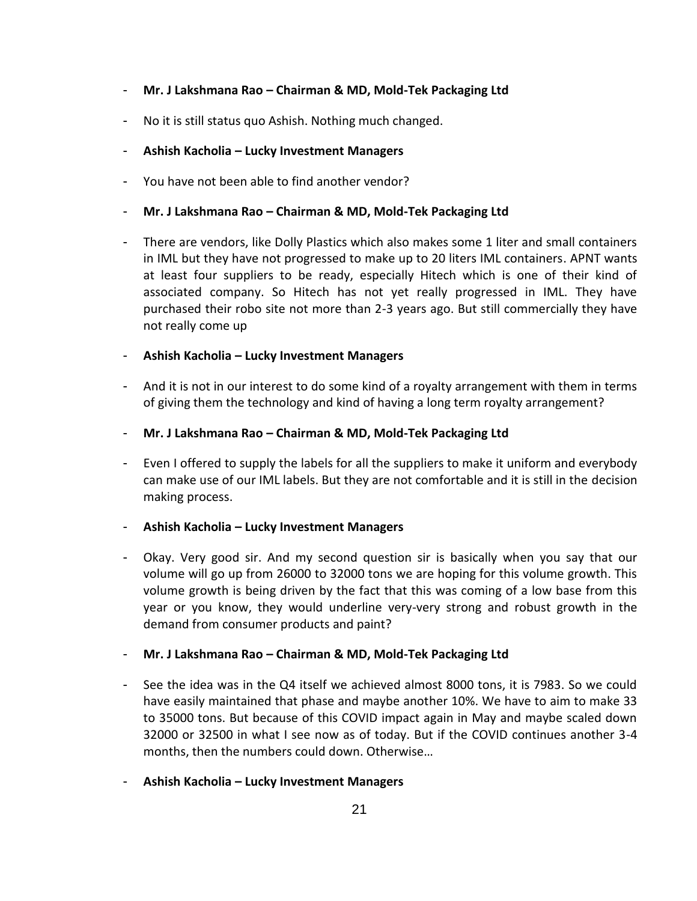- **Mr. J Lakshmana Rao – Chairman & MD, Mold-Tek Packaging Ltd**
- No it is still status quo Ashish. Nothing much changed.
- **Ashish Kacholia – Lucky Investment Managers**
- You have not been able to find another vendor?
- **Mr. J Lakshmana Rao – Chairman & MD, Mold-Tek Packaging Ltd**
- There are vendors, like Dolly Plastics which also makes some 1 liter and small containers in IML but they have not progressed to make up to 20 liters IML containers. APNT wants at least four suppliers to be ready, especially Hitech which is one of their kind of associated company. So Hitech has not yet really progressed in IML. They have purchased their robo site not more than 2-3 years ago. But still commercially they have not really come up
- **Ashish Kacholia – Lucky Investment Managers**
- And it is not in our interest to do some kind of a royalty arrangement with them in terms of giving them the technology and kind of having a long term royalty arrangement?
- **Mr. J Lakshmana Rao – Chairman & MD, Mold-Tek Packaging Ltd**
- Even I offered to supply the labels for all the suppliers to make it uniform and everybody can make use of our IML labels. But they are not comfortable and it is still in the decision making process.
- **Ashish Kacholia – Lucky Investment Managers**
- Okay. Very good sir. And my second question sir is basically when you say that our volume will go up from 26000 to 32000 tons we are hoping for this volume growth. This volume growth is being driven by the fact that this was coming of a low base from this year or you know, they would underline very-very strong and robust growth in the demand from consumer products and paint?
- **Mr. J Lakshmana Rao – Chairman & MD, Mold-Tek Packaging Ltd**
- See the idea was in the Q4 itself we achieved almost 8000 tons, it is 7983. So we could have easily maintained that phase and maybe another 10%. We have to aim to make 33 to 35000 tons. But because of this COVID impact again in May and maybe scaled down 32000 or 32500 in what I see now as of today. But if the COVID continues another 3-4 months, then the numbers could down. Otherwise…
- **Ashish Kacholia – Lucky Investment Managers**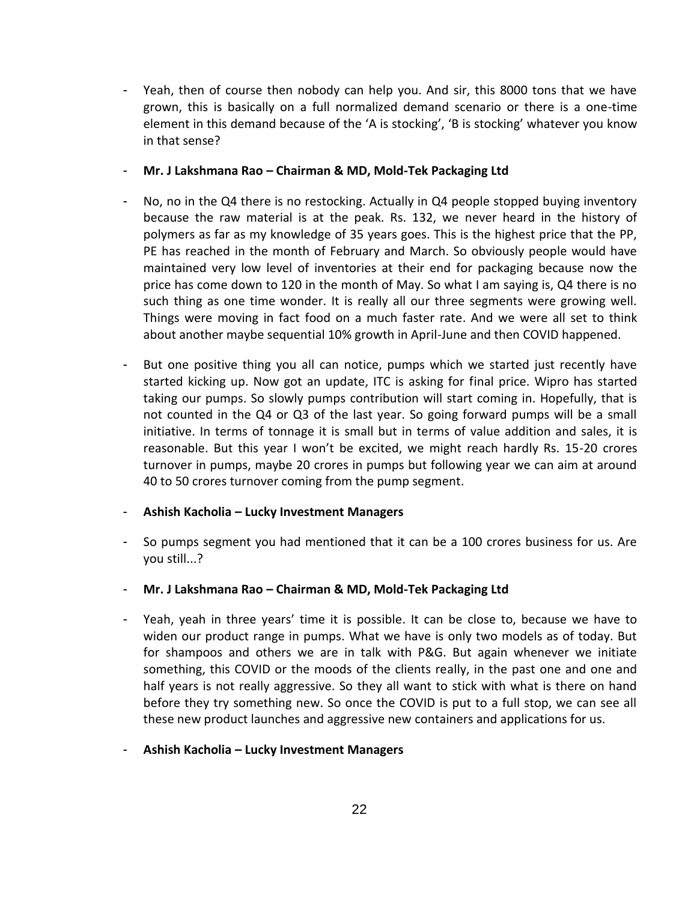- Yeah, then of course then nobody can help you. And sir, this 8000 tons that we have grown, this is basically on a full normalized demand scenario or there is a one-time element in this demand because of the 'A is stocking', 'B is stocking' whatever you know in that sense?
- **Mr. J Lakshmana Rao – Chairman & MD, Mold-Tek Packaging Ltd**
- No, no in the Q4 there is no restocking. Actually in Q4 people stopped buying inventory because the raw material is at the peak. Rs. 132, we never heard in the history of polymers as far as my knowledge of 35 years goes. This is the highest price that the PP, PE has reached in the month of February and March. So obviously people would have maintained very low level of inventories at their end for packaging because now the price has come down to 120 in the month of May. So what I am saying is, Q4 there is no such thing as one time wonder. It is really all our three segments were growing well. Things were moving in fact food on a much faster rate. And we were all set to think about another maybe sequential 10% growth in April-June and then COVID happened.
- But one positive thing you all can notice, pumps which we started just recently have started kicking up. Now got an update, ITC is asking for final price. Wipro has started taking our pumps. So slowly pumps contribution will start coming in. Hopefully, that is not counted in the Q4 or Q3 of the last year. So going forward pumps will be a small initiative. In terms of tonnage it is small but in terms of value addition and sales, it is reasonable. But this year I won't be excited, we might reach hardly Rs. 15-20 crores turnover in pumps, maybe 20 crores in pumps but following year we can aim at around 40 to 50 crores turnover coming from the pump segment.
- **Ashish Kacholia – Lucky Investment Managers**
- So pumps segment you had mentioned that it can be a 100 crores business for us. Are you still...?
- **Mr. J Lakshmana Rao – Chairman & MD, Mold-Tek Packaging Ltd**
- Yeah, yeah in three years' time it is possible. It can be close to, because we have to widen our product range in pumps. What we have is only two models as of today. But for shampoos and others we are in talk with P&G. But again whenever we initiate something, this COVID or the moods of the clients really, in the past one and one and half years is not really aggressive. So they all want to stick with what is there on hand before they try something new. So once the COVID is put to a full stop, we can see all these new product launches and aggressive new containers and applications for us.
- **Ashish Kacholia – Lucky Investment Managers**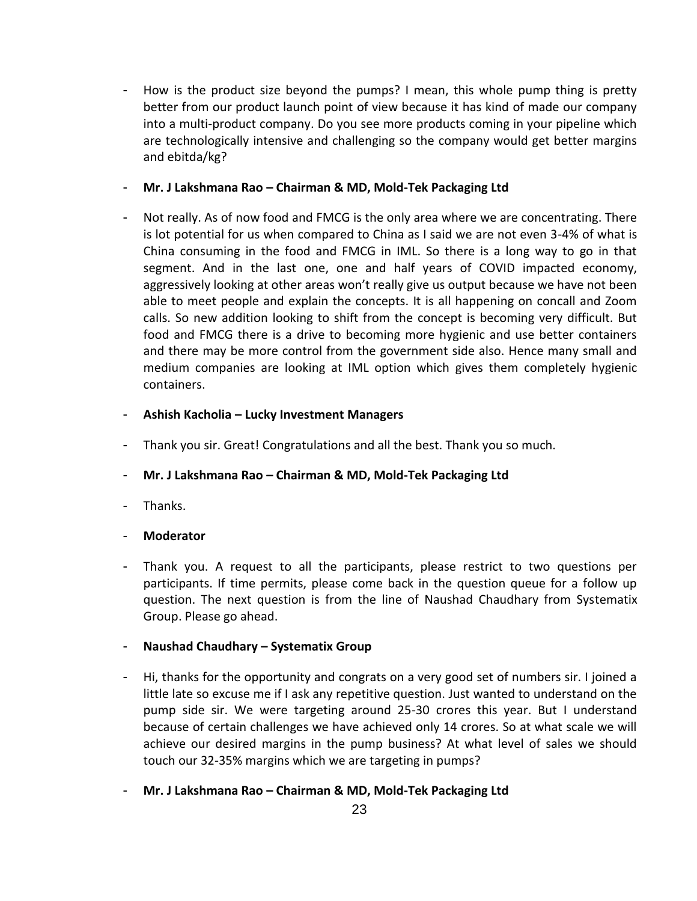- How is the product size beyond the pumps? I mean, this whole pump thing is pretty better from our product launch point of view because it has kind of made our company into a multi-product company. Do you see more products coming in your pipeline which are technologically intensive and challenging so the company would get better margins and ebitda/kg?
- **Mr. J Lakshmana Rao – Chairman & MD, Mold-Tek Packaging Ltd**
- Not really. As of now food and FMCG is the only area where we are concentrating. There is lot potential for us when compared to China as I said we are not even 3-4% of what is China consuming in the food and FMCG in IML. So there is a long way to go in that segment. And in the last one, one and half years of COVID impacted economy, aggressively looking at other areas won't really give us output because we have not been able to meet people and explain the concepts. It is all happening on concall and Zoom calls. So new addition looking to shift from the concept is becoming very difficult. But food and FMCG there is a drive to becoming more hygienic and use better containers and there may be more control from the government side also. Hence many small and medium companies are looking at IML option which gives them completely hygienic containers.
- **Ashish Kacholia – Lucky Investment Managers**
- Thank you sir. Great! Congratulations and all the best. Thank you so much.
- **Mr. J Lakshmana Rao – Chairman & MD, Mold-Tek Packaging Ltd**
- Thanks.
- **Moderator**
- Thank you. A request to all the participants, please restrict to two questions per participants. If time permits, please come back in the question queue for a follow up question. The next question is from the line of Naushad Chaudhary from Systematix Group. Please go ahead.
- **Naushad Chaudhary – Systematix Group**
- Hi, thanks for the opportunity and congrats on a very good set of numbers sir. I joined a little late so excuse me if I ask any repetitive question. Just wanted to understand on the pump side sir. We were targeting around 25-30 crores this year. But I understand because of certain challenges we have achieved only 14 crores. So at what scale we will achieve our desired margins in the pump business? At what level of sales we should touch our 32-35% margins which we are targeting in pumps?
- **Mr. J Lakshmana Rao – Chairman & MD, Mold-Tek Packaging Ltd**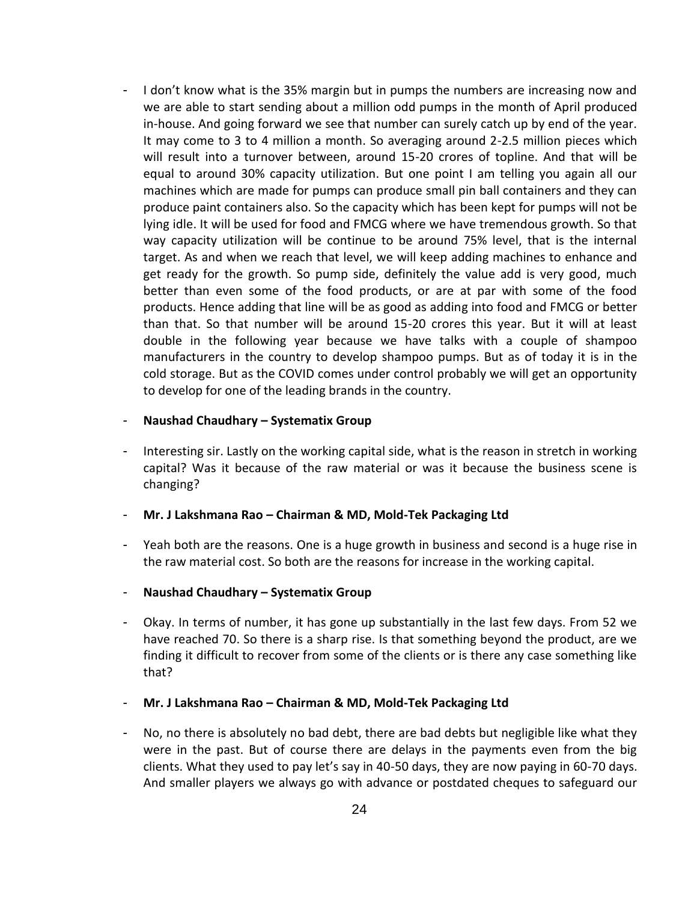- I don't know what is the 35% margin but in pumps the numbers are increasing now and we are able to start sending about a million odd pumps in the month of April produced in-house. And going forward we see that number can surely catch up by end of the year. It may come to 3 to 4 million a month. So averaging around 2-2.5 million pieces which will result into a turnover between, around 15-20 crores of topline. And that will be equal to around 30% capacity utilization. But one point I am telling you again all our machines which are made for pumps can produce small pin ball containers and they can produce paint containers also. So the capacity which has been kept for pumps will not be lying idle. It will be used for food and FMCG where we have tremendous growth. So that way capacity utilization will be continue to be around 75% level, that is the internal target. As and when we reach that level, we will keep adding machines to enhance and get ready for the growth. So pump side, definitely the value add is very good, much better than even some of the food products, or are at par with some of the food products. Hence adding that line will be as good as adding into food and FMCG or better than that. So that number will be around 15-20 crores this year. But it will at least double in the following year because we have talks with a couple of shampoo manufacturers in the country to develop shampoo pumps. But as of today it is in the cold storage. But as the COVID comes under control probably we will get an opportunity to develop for one of the leading brands in the country.

#### - **Naushad Chaudhary – Systematix Group**

- Interesting sir. Lastly on the working capital side, what is the reason in stretch in working capital? Was it because of the raw material or was it because the business scene is changing?

- **Mr. J Lakshmana Rao – Chairman & MD, Mold-Tek Packaging Ltd**

- Yeah both are the reasons. One is a huge growth in business and second is a huge rise in the raw material cost. So both are the reasons for increase in the working capital.
- **Naushad Chaudhary – Systematix Group**
- Okay. In terms of number, it has gone up substantially in the last few days. From 52 we have reached 70. So there is a sharp rise. Is that something beyond the product, are we finding it difficult to recover from some of the clients or is there any case something like that?
- **Mr. J Lakshmana Rao – Chairman & MD, Mold-Tek Packaging Ltd**
- No, no there is absolutely no bad debt, there are bad debts but negligible like what they were in the past. But of course there are delays in the payments even from the big clients. What they used to pay let's say in 40-50 days, they are now paying in 60-70 days. And smaller players we always go with advance or postdated cheques to safeguard our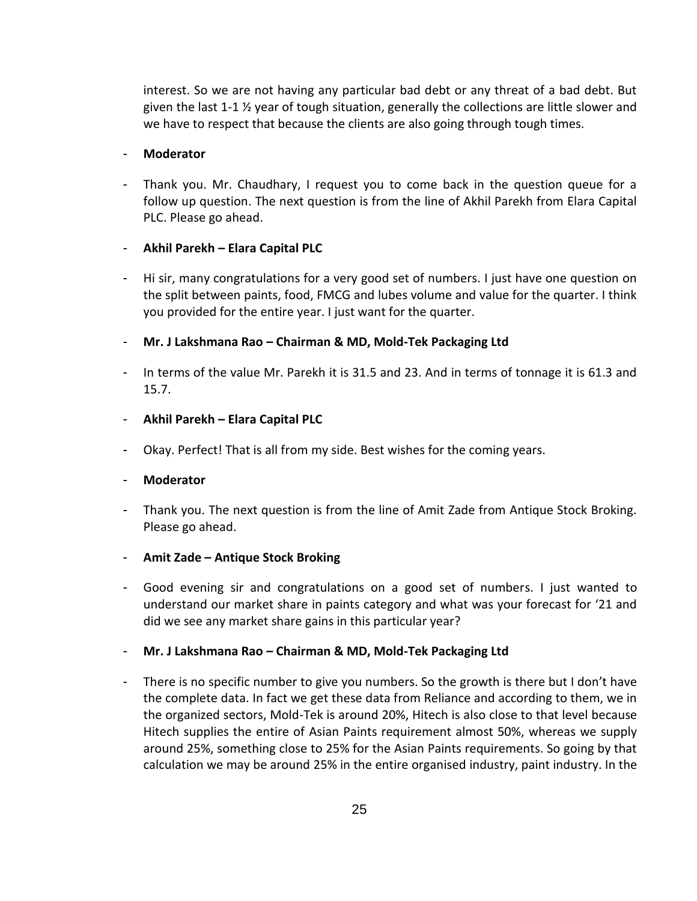interest. So we are not having any particular bad debt or any threat of a bad debt. But given the last 1-1 ½ year of tough situation, generally the collections are little slower and we have to respect that because the clients are also going through tough times.

#### - **Moderator**

- Thank you. Mr. Chaudhary, I request you to come back in the question queue for a follow up question. The next question is from the line of Akhil Parekh from Elara Capital PLC. Please go ahead.

## - **Akhil Parekh – Elara Capital PLC**

- Hi sir, many congratulations for a very good set of numbers. I just have one question on the split between paints, food, FMCG and lubes volume and value for the quarter. I think you provided for the entire year. I just want for the quarter.
- **Mr. J Lakshmana Rao – Chairman & MD, Mold-Tek Packaging Ltd**
- In terms of the value Mr. Parekh it is 31.5 and 23. And in terms of tonnage it is 61.3 and 15.7.
- **Akhil Parekh – Elara Capital PLC**
- Okay. Perfect! That is all from my side. Best wishes for the coming years.

#### - **Moderator**

- Thank you. The next question is from the line of Amit Zade from Antique Stock Broking. Please go ahead.
- **Amit Zade – Antique Stock Broking**
- Good evening sir and congratulations on a good set of numbers. I just wanted to understand our market share in paints category and what was your forecast for '21 and did we see any market share gains in this particular year?
- **Mr. J Lakshmana Rao – Chairman & MD, Mold-Tek Packaging Ltd**
- There is no specific number to give you numbers. So the growth is there but I don't have the complete data. In fact we get these data from Reliance and according to them, we in the organized sectors, Mold-Tek is around 20%, Hitech is also close to that level because Hitech supplies the entire of Asian Paints requirement almost 50%, whereas we supply around 25%, something close to 25% for the Asian Paints requirements. So going by that calculation we may be around 25% in the entire organised industry, paint industry. In the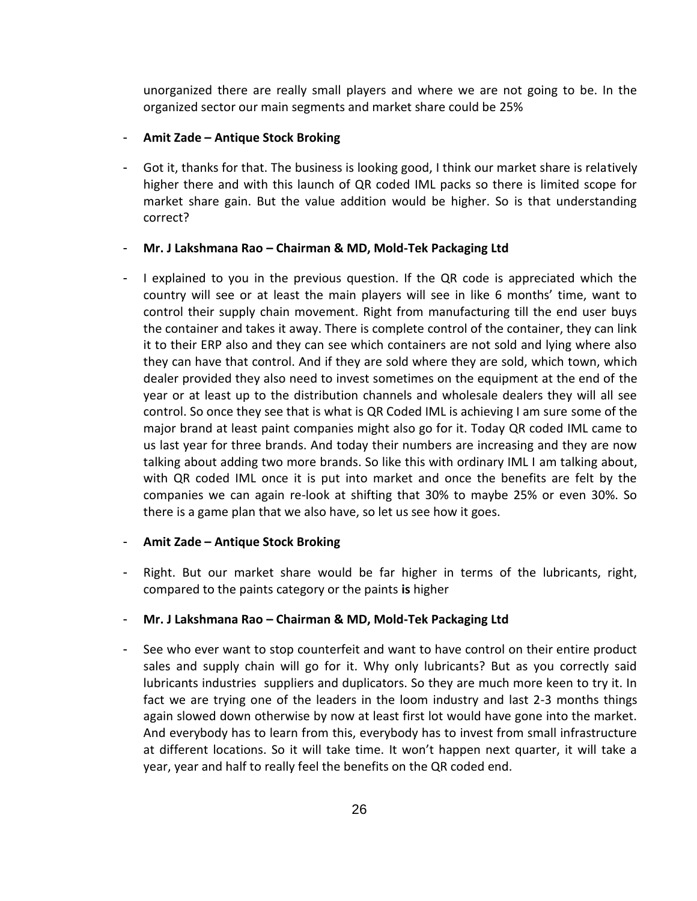unorganized there are really small players and where we are not going to be. In the organized sector our main segments and market share could be 25%

## - **Amit Zade – Antique Stock Broking**

- Got it, thanks for that. The business is looking good, I think our market share is relatively higher there and with this launch of QR coded IML packs so there is limited scope for market share gain. But the value addition would be higher. So is that understanding correct?

#### - **Mr. J Lakshmana Rao – Chairman & MD, Mold-Tek Packaging Ltd**

- I explained to you in the previous question. If the QR code is appreciated which the country will see or at least the main players will see in like 6 months' time, want to control their supply chain movement. Right from manufacturing till the end user buys the container and takes it away. There is complete control of the container, they can link it to their ERP also and they can see which containers are not sold and lying where also they can have that control. And if they are sold where they are sold, which town, which dealer provided they also need to invest sometimes on the equipment at the end of the year or at least up to the distribution channels and wholesale dealers they will all see control. So once they see that is what is QR Coded IML is achieving I am sure some of the major brand at least paint companies might also go for it. Today QR coded IML came to us last year for three brands. And today their numbers are increasing and they are now talking about adding two more brands. So like this with ordinary IML I am talking about, with QR coded IML once it is put into market and once the benefits are felt by the companies we can again re-look at shifting that 30% to maybe 25% or even 30%. So there is a game plan that we also have, so let us see how it goes.

#### - **Amit Zade – Antique Stock Broking**

- Right. But our market share would be far higher in terms of the lubricants, right, compared to the paints category or the paints **is** higher

## - **Mr. J Lakshmana Rao – Chairman & MD, Mold-Tek Packaging Ltd**

- See who ever want to stop counterfeit and want to have control on their entire product sales and supply chain will go for it. Why only lubricants? But as you correctly said lubricants industries suppliers and duplicators. So they are much more keen to try it. In fact we are trying one of the leaders in the loom industry and last 2-3 months things again slowed down otherwise by now at least first lot would have gone into the market. And everybody has to learn from this, everybody has to invest from small infrastructure at different locations. So it will take time. It won't happen next quarter, it will take a year, year and half to really feel the benefits on the QR coded end.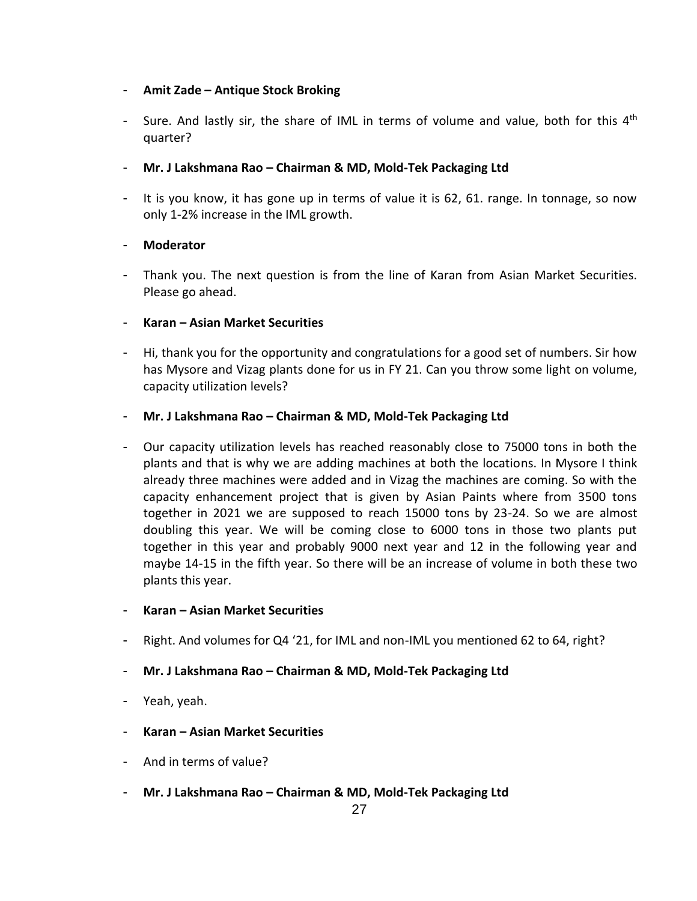## - **Amit Zade – Antique Stock Broking**

- Sure. And lastly sir, the share of IML in terms of volume and value, both for this  $4<sup>th</sup>$ quarter?
- **Mr. J Lakshmana Rao – Chairman & MD, Mold-Tek Packaging Ltd**
- It is you know, it has gone up in terms of value it is 62, 61. range. In tonnage, so now only 1-2% increase in the IML growth.

## - **Moderator**

- Thank you. The next question is from the line of Karan from Asian Market Securities. Please go ahead.

## - **Karan – Asian Market Securities**

- Hi, thank you for the opportunity and congratulations for a good set of numbers. Sir how has Mysore and Vizag plants done for us in FY 21. Can you throw some light on volume, capacity utilization levels?

## - **Mr. J Lakshmana Rao – Chairman & MD, Mold-Tek Packaging Ltd**

- Our capacity utilization levels has reached reasonably close to 75000 tons in both the plants and that is why we are adding machines at both the locations. In Mysore I think already three machines were added and in Vizag the machines are coming. So with the capacity enhancement project that is given by Asian Paints where from 3500 tons together in 2021 we are supposed to reach 15000 tons by 23-24. So we are almost doubling this year. We will be coming close to 6000 tons in those two plants put together in this year and probably 9000 next year and 12 in the following year and maybe 14-15 in the fifth year. So there will be an increase of volume in both these two plants this year.

## - **Karan – Asian Market Securities**

- Right. And volumes for Q4 '21, for IML and non-IML you mentioned 62 to 64, right?

## - **Mr. J Lakshmana Rao – Chairman & MD, Mold-Tek Packaging Ltd**

- Yeah, yeah.
- **Karan – Asian Market Securities**
- And in terms of value?
- **Mr. J Lakshmana Rao – Chairman & MD, Mold-Tek Packaging Ltd**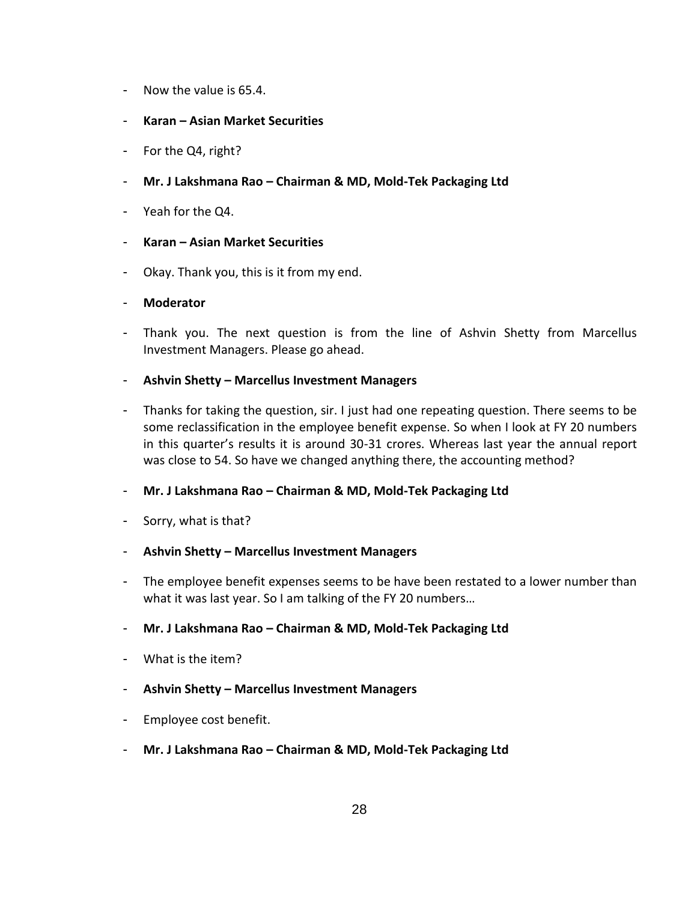- Now the value is 65.4.
- **Karan – Asian Market Securities**
- For the Q4, right?
- **Mr. J Lakshmana Rao – Chairman & MD, Mold-Tek Packaging Ltd**
- Yeah for the Q4.
- **Karan – Asian Market Securities**
- Okay. Thank you, this is it from my end.
- **Moderator**
- Thank you. The next question is from the line of Ashvin Shetty from Marcellus Investment Managers. Please go ahead.
- **Ashvin Shetty – Marcellus Investment Managers**
- Thanks for taking the question, sir. I just had one repeating question. There seems to be some reclassification in the employee benefit expense. So when I look at FY 20 numbers in this quarter's results it is around 30-31 crores. Whereas last year the annual report was close to 54. So have we changed anything there, the accounting method?
- **Mr. J Lakshmana Rao – Chairman & MD, Mold-Tek Packaging Ltd**
- Sorry, what is that?
- **Ashvin Shetty – Marcellus Investment Managers**
- The employee benefit expenses seems to be have been restated to a lower number than what it was last year. So I am talking of the FY 20 numbers…
- **Mr. J Lakshmana Rao – Chairman & MD, Mold-Tek Packaging Ltd**
- What is the item?
- **Ashvin Shetty – Marcellus Investment Managers**
- Employee cost benefit.
- **Mr. J Lakshmana Rao – Chairman & MD, Mold-Tek Packaging Ltd**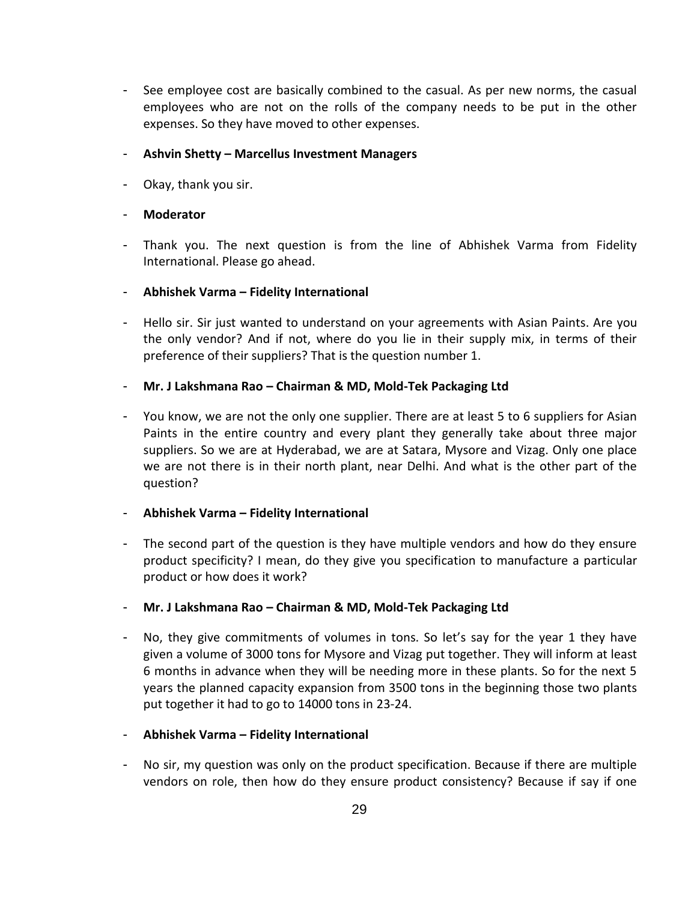- See employee cost are basically combined to the casual. As per new norms, the casual employees who are not on the rolls of the company needs to be put in the other expenses. So they have moved to other expenses.

## - **Ashvin Shetty – Marcellus Investment Managers**

- Okay, thank you sir.

## - **Moderator**

- Thank you. The next question is from the line of Abhishek Varma from Fidelity International. Please go ahead.

## - **Abhishek Varma – Fidelity International**

- Hello sir. Sir just wanted to understand on your agreements with Asian Paints. Are you the only vendor? And if not, where do you lie in their supply mix, in terms of their preference of their suppliers? That is the question number 1.

## - **Mr. J Lakshmana Rao – Chairman & MD, Mold-Tek Packaging Ltd**

- You know, we are not the only one supplier. There are at least 5 to 6 suppliers for Asian Paints in the entire country and every plant they generally take about three major suppliers. So we are at Hyderabad, we are at Satara, Mysore and Vizag. Only one place we are not there is in their north plant, near Delhi. And what is the other part of the question?

## - **Abhishek Varma – Fidelity International**

- The second part of the question is they have multiple vendors and how do they ensure product specificity? I mean, do they give you specification to manufacture a particular product or how does it work?
- **Mr. J Lakshmana Rao – Chairman & MD, Mold-Tek Packaging Ltd**
- No, they give commitments of volumes in tons. So let's say for the year 1 they have given a volume of 3000 tons for Mysore and Vizag put together. They will inform at least 6 months in advance when they will be needing more in these plants. So for the next 5 years the planned capacity expansion from 3500 tons in the beginning those two plants put together it had to go to 14000 tons in 23-24.

## - **Abhishek Varma – Fidelity International**

- No sir, my question was only on the product specification. Because if there are multiple vendors on role, then how do they ensure product consistency? Because if say if one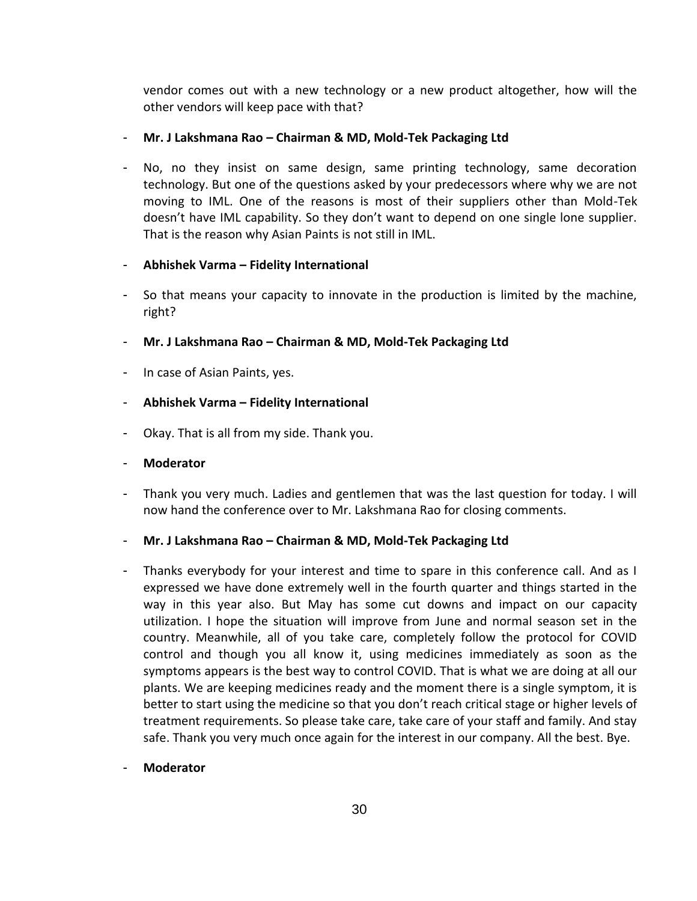vendor comes out with a new technology or a new product altogether, how will the other vendors will keep pace with that?

## - **Mr. J Lakshmana Rao – Chairman & MD, Mold-Tek Packaging Ltd**

- No, no they insist on same design, same printing technology, same decoration technology. But one of the questions asked by your predecessors where why we are not moving to IML. One of the reasons is most of their suppliers other than Mold-Tek doesn't have IML capability. So they don't want to depend on one single lone supplier. That is the reason why Asian Paints is not still in IML.

## - **Abhishek Varma – Fidelity International**

- So that means your capacity to innovate in the production is limited by the machine, right?
- **Mr. J Lakshmana Rao – Chairman & MD, Mold-Tek Packaging Ltd**
- In case of Asian Paints, yes.

## - **Abhishek Varma – Fidelity International**

- Okay. That is all from my side. Thank you.
- **Moderator**
- Thank you very much. Ladies and gentlemen that was the last question for today. I will now hand the conference over to Mr. Lakshmana Rao for closing comments.
- **Mr. J Lakshmana Rao – Chairman & MD, Mold-Tek Packaging Ltd**
- Thanks everybody for your interest and time to spare in this conference call. And as I expressed we have done extremely well in the fourth quarter and things started in the way in this year also. But May has some cut downs and impact on our capacity utilization. I hope the situation will improve from June and normal season set in the country. Meanwhile, all of you take care, completely follow the protocol for COVID control and though you all know it, using medicines immediately as soon as the symptoms appears is the best way to control COVID. That is what we are doing at all our plants. We are keeping medicines ready and the moment there is a single symptom, it is better to start using the medicine so that you don't reach critical stage or higher levels of treatment requirements. So please take care, take care of your staff and family. And stay safe. Thank you very much once again for the interest in our company. All the best. Bye.
- **Moderator**